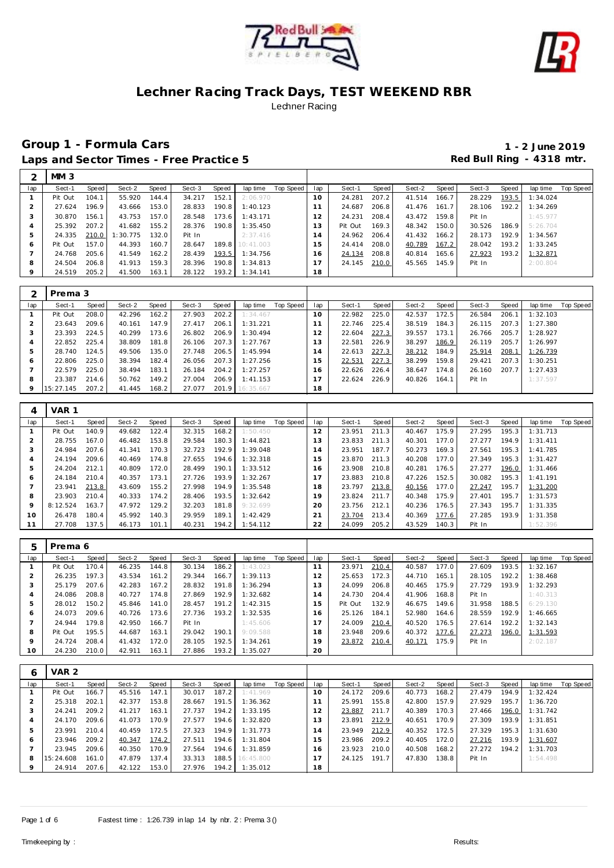



# **Group 1 - Formula Cars 1 - 2 June 2019** Laps and Sector Times - Free Practice 5 **All and Sector Times - Free Practice 5 Red Bull Ring - 4318 mtr.**

|     | MM <sub>3</sub> |       |          |       |        |       |                 |           |                |         |       |        |       |        |       |          |           |
|-----|-----------------|-------|----------|-------|--------|-------|-----------------|-----------|----------------|---------|-------|--------|-------|--------|-------|----------|-----------|
| lap | Sect-1          | Speed | Sect-2   | Speed | Sect-3 | Speed | lap time        | Top Speed | lap            | Sect-1  | Speed | Sect-2 | Speed | Sect-3 | Speed | lap time | Top Speed |
|     | Pit Out         | 104.1 | 55.920   | 144.4 | 34.217 | 152.1 | 2:06.970        |           | 10             | 24.281  | 207.2 | 41.514 | 166.7 | 28.229 | 193.5 | 1:34.024 |           |
|     | 27.624          | 196.9 | 43.666   | 153.0 | 28.833 | 190.8 | 1:40.123        |           | -1             | 24.687  | 206.8 | 41.476 | 161.7 | 28.106 | 192.2 | 1:34.269 |           |
| 3   | 30.870          | 156.1 | 43.753   | 157.0 | 28.548 | 173.6 | 1:43.171        |           | 12             | 24.231  | 208.4 | 43.472 | 159.8 | Pit In |       | 1:45.977 |           |
| 4   | 25.392          | 207.2 | 41.682   | 155.2 | 28.376 | 190.8 | 1:35.450        |           | 13             | Pit Out | 169.3 | 48.342 | 150.0 | 30.526 | 186.9 | 5:26.704 |           |
| 5   | 24.335          | 210.0 | : 30.775 | 132.0 | Pit In |       | 2:37.416        |           | $\overline{A}$ | 24.962  | 206.4 | 41.432 | 166.2 | 28.173 | 192.9 | 1:34.567 |           |
| Ô   | Pit Out         | 157.0 | 44.393   | 160.7 | 28.647 |       | 189.8 10:41.003 |           | 5              | 24.414  | 208.0 | 40.789 | 167.2 | 28.042 | 193.2 | 1:33.245 |           |
|     | 24.768          | 205.6 | 41.549   | 162.2 | 28.439 | 193.5 | 1:34.756        |           | 6              | 24.134  | 208.8 | 40.814 | 165.6 | 27.923 | 193.2 | 1:32.871 |           |
| 8   | 24.504          | 206.8 | 41.913   | 159.3 | 28.396 | 190.8 | 1:34.813        |           | 17             | 24.145  | 210.0 | 45.565 | 145.9 | Pit In |       | 2:00.804 |           |
| 9   | 24.519          | 205.2 | 41.500   | 163.1 | 28.122 | 193.2 | 1:34.141        |           | 18             |         |       |        |       |        |       |          |           |

|         | Prema 3   |         |        |       |        |       |           |           |                 |        |       |        |       |        |       |          |           |
|---------|-----------|---------|--------|-------|--------|-------|-----------|-----------|-----------------|--------|-------|--------|-------|--------|-------|----------|-----------|
| lap     | Sect-1    | Speed ! | Sect-2 | Speed | Sect-3 | Speed | lap time  | Top Speed | lap             | Sect-1 | Speed | Sect-2 | Speed | Sect-3 | Speed | lap time | Top Speed |
|         | Pit Out   | 208.0   | 42.296 | 162.2 | 27.903 | 202.2 | 1:34.467  |           | 10 <sup>°</sup> | 22.982 | 225.0 | 42.537 | 172.5 | 26.584 | 206.1 | 1:32.103 |           |
|         | 23.643    | 209.6   | 40.161 | 147.9 | 27.417 | 206.1 | 1:31.221  |           |                 | 22.746 | 225.4 | 38.519 | 184.3 | 26.115 | 207.3 | 1:27.380 |           |
| 3       | 23.393    | 224.5   | 40.299 | 173.6 | 26.802 | 206.9 | 1:30.494  |           | 2               | 22.604 | 227.3 | 39.557 | 173.1 | 26.766 | 205.7 | 1:28.927 |           |
|         | 22.852    | 225.4   | 38.809 | 181.8 | 26.106 | 207.3 | 1:27.767  |           | 3               | 22.581 | 226.9 | 38.297 | 186.9 | 26.119 | 205.7 | 1:26.997 |           |
| 5       | 28.740    | 124.5   | 49.506 | 135.0 | 27.748 | 206.5 | 1:45.994  |           | 4               | 22.613 | 227.3 | 38.212 | 184.9 | 25.914 | 208.1 | 1:26.739 |           |
| Ô       | 22.806    | 225.0   | 38.394 | 182.4 | 26.056 | 207.3 | 1:27.256  |           | 5               | 22.531 | 227.3 | 38.299 | 159.8 | 29.421 | 207.3 | 1:30.251 |           |
|         | 22.579    | 225.0   | 38.494 | 183.1 | 26.184 | 204.2 | 1:27.257  |           | 6               | 22.626 | 226.4 | 38.647 | 174.8 | 26.160 | 207.7 | 1:27.433 |           |
| 8       | 23.387    | 214.6   | 50.762 | 149.2 | 27.004 | 206.9 | 1:41.153  |           |                 | 22.624 | 226.9 | 40.826 | 164.1 | Pit In |       | 1:37.597 |           |
| $\circ$ | 15:27.145 | 207.2   | 41.445 | 168.2 | 27.077 | 201.9 | 16:35.667 |           | 18              |        |       |        |       |        |       |          |           |

| 4   | VAR 1    |       |        |       |        |       |          |           |     |        |       |        |       |        |       |          |           |
|-----|----------|-------|--------|-------|--------|-------|----------|-----------|-----|--------|-------|--------|-------|--------|-------|----------|-----------|
| lap | Sect-1   | Speed | Sect-2 | Speed | Sect-3 | Speed | lap time | Top Speed | lap | Sect-1 | Speed | Sect-2 | Speed | Sect-3 | Speed | lap time | Top Speed |
|     | Pit Out  | 140.9 | 49.682 | 122.4 | 32.315 | 168.2 | 1:50.450 |           | 12  | 23.951 | 211.3 | 40.467 | 175.9 | 27.295 | 195.3 | 1:31.713 |           |
|     | 28.755   | 167.0 | 46.482 | 153.8 | 29.584 | 180.3 | 1:44.821 |           | 13  | 23.833 | 211.3 | 40.301 | 177.0 | 27.277 | 194.9 | 1:31.411 |           |
| 3   | 24.984   | 207.6 | 41.341 | 170.3 | 32.723 | 192.9 | 1:39.048 |           | (4) | 23.951 | 187.7 | 50.273 | 169.3 | 27.561 | 195.3 | 1:41.785 |           |
| 4   | 24.194   | 209.6 | 40.469 | 174.8 | 27.655 | 194.6 | 1:32.318 |           | 15  | 23.870 | 211.3 | 40.208 | 177.0 | 27.349 | 195.3 | 1:31.427 |           |
| 5   | 24.204   | 212.1 | 40.809 | 172.0 | 28.499 | 190.1 | 1:33.512 |           | 16  | 23.908 | 210.8 | 40.281 | 176.5 | 27.277 | 196.0 | 1:31.466 |           |
| 6   | 24.184   | 210.4 | 40.357 | 173.1 | 27.726 | 193.9 | 1:32.267 |           | 17  | 23.883 | 210.8 | 47.226 | 152.5 | 30.082 | 195.3 | 1:41.191 |           |
|     | 23.941   | 213.8 | 43.609 | 155.2 | 27.998 | 194.9 | 1:35.548 |           | 18  | 23.797 | 213.8 | 40.156 | 177.0 | 27.247 | 195.7 | 1:31.200 |           |
| 8   | 23.903   | 210.4 | 40.333 | 174.2 | 28.406 | 193.5 | 1:32.642 |           | 19  | 23.824 | 211.7 | 40.348 | 175.9 | 27.401 | 195.7 | 1:31.573 |           |
| 9   | 8:12.524 | 163.7 | 47.972 | 129.2 | 32.203 | 181.8 | 9:32.699 |           | 20  | 23.756 | 212.1 | 40.236 | 176.5 | 27.343 | 195.7 | 1:31.335 |           |
| 10  | 26.478   | 180.4 | 45.992 | 140.3 | 29.959 | 189.1 | 1:42.429 |           | 21  | 23.704 | 213.4 | 40.369 | 177.6 | 27.285 | 193.9 | 1:31.358 |           |
| 11  | 27.708   | 137.5 | 46.173 | 101.1 | 40.231 | 194.2 | 1:54.112 |           | 22  | 24.099 | 205.2 | 43.529 | 140.3 | Pit In |       | 1:52.396 |           |

| h       | Prema 6 |       |        |       |        |       |          |           |     |         |       |        |       |        |       |          |           |
|---------|---------|-------|--------|-------|--------|-------|----------|-----------|-----|---------|-------|--------|-------|--------|-------|----------|-----------|
| lap     | Sect-1  | Speed | Sect-2 | Speed | Sect-3 | Speed | lap time | Top Speed | lap | Sect-1  | Speed | Sect-2 | Speed | Sect-3 | Speed | lap time | Top Speed |
|         | Pit Out | 170.4 | 46.235 | 144.8 | 30.134 | 186.2 | 1:43.023 |           | 11  | 23.971  | 210.4 | 40.587 | 177.0 | 27.609 | 193.5 | 1:32.167 |           |
|         | 26.235  | 197.3 | 43.534 | 161.2 | 29.344 | 166.7 | 1:39.113 |           | 12  | 25.653  | 172.3 | 44.710 | 165.1 | 28.105 | 192.2 | 1:38.468 |           |
|         | 25.179  | 207.6 | 42.283 | 167.2 | 28.832 | 191.8 | 1:36.294 |           | 13  | 24.099  | 206.8 | 40.465 | 175.9 | 27.729 | 193.9 | 1:32.293 |           |
|         | 24.086  | 208.8 | 40.727 | 174.8 | 27.869 | 192.9 | 1:32.682 |           | 14  | 24.730  | 204.4 | 41.906 | 168.8 | Pit In |       | 1:40.313 |           |
| 5       | 28.012  | 150.2 | 45.846 | 141.0 | 28.457 | 191.2 | 1:42.315 |           | 15  | Pit Out | 132.9 | 46.675 | 149.6 | 31.958 | 188.5 | 6:29.130 |           |
| 6       | 24.073  | 209.6 | 40.726 | 173.6 | 27.736 | 193.2 | 1:32.535 |           | 16  | 25.126  | 184.1 | 52.980 | 164.6 | 28.559 | 192.9 | 1:46.665 |           |
|         | 24.944  | 179.8 | 42.950 | 166.7 | Pit In |       | 1:45.606 |           |     | 24.009  | 210.4 | 40.520 | 176.5 | 27.614 | 192.2 | 1:32.143 |           |
| 8       | Pit Out | 195.5 | 44.687 | 163.1 | 29.042 | 190.1 | 9:09.588 |           | 18  | 23.948  | 209.6 | 40.372 | 177.6 | 27.273 | 196.0 | 1:31.593 |           |
| $\circ$ | 24.724  | 208.4 | 41.432 | 172.0 | 28.105 | 192.5 | 1:34.261 |           | 19  | 23.872  | 210.4 | 40.171 | 175.9 | Pit In |       | 2:02.187 |           |
| 10      | 24.230  | 210.0 | 42.911 | 163.1 | 27.886 | 193.2 | 1:35.027 |           | 20  |         |       |        |       |        |       |          |           |

| b            | VAR <sub>2</sub> |       |        |       |        |       |                 |           |          |        |       |        |         |        |       |          |           |
|--------------|------------------|-------|--------|-------|--------|-------|-----------------|-----------|----------|--------|-------|--------|---------|--------|-------|----------|-----------|
| lap          | Sect-1           | Speed | Sect-2 | Speed | Sect-3 | Speed | lap time        | Top Speed | lap      | Sect-1 | Speed | Sect-2 | Speed I | Sect-3 | Speed | lap time | Top Speed |
|              | Pit Out          | 166.7 | 45.516 | 147.1 | 30.017 | 187.2 | 1:41.969        |           | $10^{-}$ | 24.172 | 209.6 | 40.773 | 168.2   | 27.479 | 194.9 | 1:32.424 |           |
|              | 25.318           | 202.1 | 42.377 | 153.8 | 28.667 | 191.5 | 1:36.362        |           |          | 25.991 | 155.8 | 42.800 | 157.9   | 27.929 | 195.7 | 1:36.720 |           |
| 3            | 24.241           | 209.2 | 41.217 | 163.1 | 27.737 | 194.2 | 1:33.195        |           | 12       | 23.887 | 211.7 | 40.389 | 170.3   | 27.466 | 196.0 | 1:31.742 |           |
| 4            | 24.170           | 209.6 | 41.073 | 170.9 | 27.577 | 194.6 | 1:32.820        |           | 13       | 23.891 | 212.9 | 40.651 | 170.9   | 27.309 | 193.9 | 1:31.851 |           |
| 5            | 23.991           | 210.4 | 40.459 | 172.5 | 27.323 | 194.9 | 1:31.773        |           | 14       | 23.949 | 212.9 | 40.352 | 172.5   | 27.329 | 195.3 | 1:31.630 |           |
| <sub>6</sub> | 23.946           | 209.2 | 40.347 | 174.2 | 27.511 | 194.6 | 1:31.804        |           | 15       | 23.986 | 209.2 | 40.405 | 172.0   | 27.216 | 193.9 | 1:31.607 |           |
|              | 23.945           | 209.6 | 40.350 | 170.9 | 27.564 | 194.6 | 1:31.859        |           | 16       | 23.923 | 210.0 | 40.508 | 168.2   | 27.272 | 194.2 | 1:31.703 |           |
| 8            | 15:24.608        | 161.0 | 47.879 | 137.4 | 33.313 |       | 188.5 16:45.800 |           |          | 24.125 | 191.7 | 47.830 | 138.8   | Pit In |       | 1:54.498 |           |
|              | 24.914           | 207.6 | 42.122 | 153.0 | 27.976 | 194.2 | 1:35.012        |           | 18       |        |       |        |         |        |       |          |           |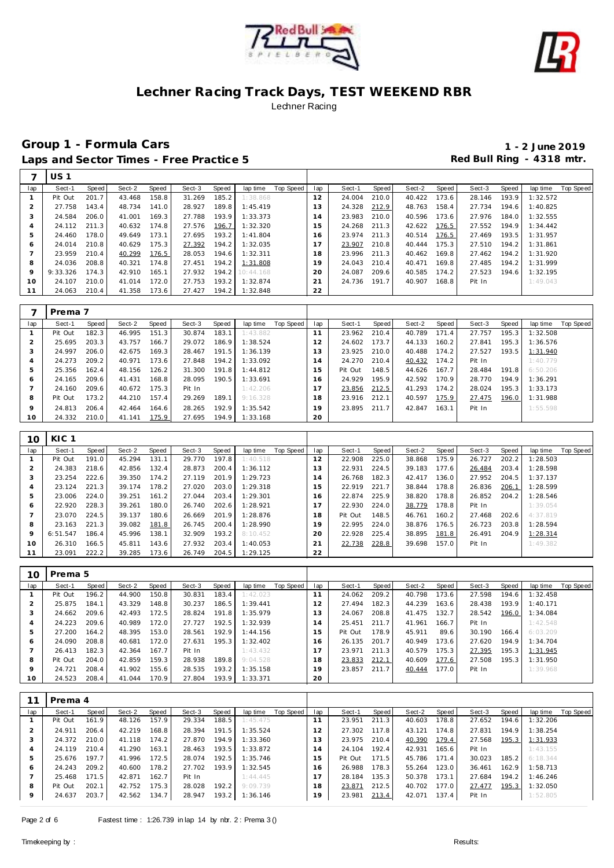



# **Group 1 - Formula Cars 1 - 2 June 2019** Laps and Sector Times - Free Practice 5 Red Bull Ring - 4318 mtr.

 $\Gamma$ 

| Sect-2<br>Top Speed<br>Sect-1<br>Speed<br>Sect-2<br>Speed<br>Sect-3<br>Speed<br>Top Speed<br>Sect-1<br>Speed<br>Speed<br>Sect-3<br>Speed<br>lap time<br>lap<br>lap time<br>lap<br>185.2<br>Pit Out<br>201.7<br>43.468<br>158.8<br>31.269<br>1:38.868<br>12<br>24.004<br>210.0<br>40.422<br>173.6<br>28.146<br>193.9<br>1:32.572<br>1<br>$\overline{a}$<br>27.758<br>189.8<br>13<br>212.9<br>48.763<br>48.734<br>141.0<br>28.927<br>1:45.419<br>24.328<br>158.4<br>27.734<br>194.6<br>1:40.825<br>143.4<br>3<br>24.584<br>27.788<br>193.9<br>210.0<br>40.596<br>206.0<br>41.001<br>169.3<br>1:33.373<br>14<br>23.983<br>173.6<br>27.976<br>184.0<br>1:32.555<br>24.112<br>211.3<br>27.576<br>196.7<br>1:32.320<br>24.268<br>211.3<br>42.622<br>176.5<br>27.552<br>194.9<br>1:34.442<br>$\overline{4}$<br>40.632<br>174.8<br>15<br>5<br>27.695<br>193.2<br>23.974<br>211.3<br>40.514<br>176.5<br>24.460<br>178.0<br>49.649<br>173.1<br>1:41.804<br>16<br>27.469<br>193.5<br>1:31.957<br>24.014<br>175.3<br>27.392<br>194.2<br>1:32.035<br>23.907<br>210.8<br>40.444<br>175.3<br>27.510<br>194.2<br>1:31.861<br>210.8<br>40.629<br>17<br>6<br>$\overline{7}$<br>23.959<br>28.053<br>194.6<br>1:32.311<br>23.996<br>211.3<br>169.8<br>210.4<br>40.299<br>18<br>40.462<br>27.462<br>194.2<br>1:31.920<br>176.5<br>8<br>24.036<br>208.8<br>40.321<br>174.8<br>27.451<br>194.2<br>19<br>24.043<br>210.4<br>40.471<br>169.8<br>27.485<br>194.2<br>1:31.999<br>1:31.808<br>9<br>9:33.326<br>27.932<br>194.2<br>24.087<br>209.6<br>174.2<br>174.3<br>42.910<br>165.1<br>10:44.168<br>20<br>40.585<br>27.523<br>194.6<br>1:32.195<br>24.107<br>172.0<br>27.753<br>193.2<br>210.0<br>41.014<br>1:32.874<br>21<br>24.736<br>191.7<br>40.907<br>168.8<br>Pit In<br>1:49.043<br>10<br>22<br>24.063<br>194.2<br>1:32.848<br>210.4<br>41.358<br>173.6<br>27.427<br>11<br>Prema 7<br>7<br>Speed<br>Speed<br>Sect-2<br>Speed<br>Sect-3<br>Speed<br>Top Speed<br>Sect-1<br>Sect-2<br>Speed<br>Sect-3<br>Speed<br>Top Speed<br>lap<br>Sect-1<br>lap time<br>lap<br>lap time<br>151.3<br>30.874<br>183.1<br>23.962<br>210.4<br>40.789<br>171.4<br>27.757<br>1:32.508<br>Pit Out<br>182.3<br>46.995<br>1:43.882<br>11<br>195.3<br>$\mathbf{1}$<br>$\overline{2}$<br>25.695<br>186.9<br>24.602<br>173.7<br>44.133<br>160.2<br>203.3<br>43.757<br>166.7<br>29.072<br>1:38.524<br>12<br>27.841<br>195.3<br>1:36.576<br>3<br>24.997<br>206.0<br>28.467<br>191.5<br>13<br>23.925<br>210.0<br>40.488<br>174.2<br>27.527<br>193.5<br>42.675<br>169.3<br>1:36.139<br>1:31.940<br>24.273<br>194.2<br>24.270<br>210.4<br>209.2<br>40.971<br>173.6<br>27.848<br>1:33.092<br>14<br>40.432<br>174.2<br>Pit In<br>1:40.779<br>$\overline{4}$<br>5<br>25.356<br>31.300<br>191.8<br>15<br>Pit Out<br>148.5<br>44.626<br>167.7<br>191.8<br>162.4<br>48.156<br>126.2<br>1:44.812<br>28.484<br>6:50.206<br>28.095<br>24.929<br>195.9<br>42.592<br>170.9<br>194.9<br>1:36.291<br>24.165<br>209.6<br>41.431<br>168.8<br>190.5<br>1:33.691<br>28.770<br>16<br>6<br>$\overline{7}$<br>24.160<br>209.6<br>175.3<br>Pit In<br>17<br>23.856<br>212.5<br>41.293<br>174.2<br>28.024<br>195.3<br>1:33.173<br>40.672<br>1:42.206<br>8<br>Pit Out<br>173.2<br>157.4<br>29.269<br>189.1<br>18<br>23.916<br>212.1<br>40.597<br>175.9<br>27.475<br>196.0<br>1:31.988<br>44.210<br>9:16.328<br>24.813<br>192.9<br>9<br>206.4<br>42.464<br>28.265<br>1:35.542<br>19<br>23.895<br>211.7<br>42.847<br>163.1<br>Pit In<br>1:55.598<br>164.6<br>24.332<br>210.0<br>175.9<br>27.695<br>194.9<br>1:33.168<br>20<br>10<br>41.141<br>KIC <sub>1</sub><br>10<br>Sect-1<br>Speed<br>Sect-2<br><b>Speed</b><br>Sect-3<br>Speed<br>lap time<br>Top Speed<br>Sect-1<br>Speed<br>Sect-2<br>Speed<br>Sect-3<br>Speed<br>lap time<br>Top Speed<br>lap<br>lap<br>191.0<br>197.8<br>12<br>22.908<br>225.0<br>38.868<br>175.9<br>26.727<br>202.2<br>$\mathbf{1}$<br>Pit Out<br>45.294<br>131.1<br>29.770<br>1:40.518<br>1:28.503<br>2<br>24.383<br>200.4<br>22.931<br>224.5<br>39.183<br>218.6<br>42.856<br>132.4<br>28.873<br>1:36.112<br>13<br>177.6<br>26.484<br>203.4<br>1:28.598<br>3<br>23.254<br>222.6<br>39.350<br>174.2<br>27.119<br>201.9<br>1:29.723<br>26.768<br>182.3<br>42.417<br>136.0<br>27.952<br>204.5<br>1:37.137<br>14<br>23.124<br>203.0<br>221.7<br>221.3<br>39.174<br>178.2<br>27.020<br>1:29.318<br>15<br>22.919<br>38.844<br>178.8<br>26.836<br>206.1<br>1:28.599<br>$\overline{4}$<br>5<br>23.006<br>27.044<br>203.4<br>1:29.301<br>22.874<br>225.9<br>38.820<br>178.8<br>26.852<br>204.2<br>224.0<br>39.251<br>161.2<br>16<br>1:28.546<br>22.920<br>202.6<br>22.930<br>224.0<br>228.3<br>39.261<br>180.0<br>26.740<br>1:28.921<br>17<br>38.779<br>178.8<br>Pit In<br>1:39.054<br>6<br>$\overline{7}$<br>23.070<br>224.5<br>39.137<br>180.6<br>26.669<br>201.9<br>1:28.876<br>18<br>Pit Out<br>148.5<br>46.761<br>160.2<br>27.468<br>202.6<br>4:37.819<br>8<br>23.163<br>221.3<br>39.082<br>26.745<br>200.4<br>1:28.990<br>19<br>22.995<br>224.0<br>38.876<br>176.5<br>26.723<br>203.8<br>1:28.594<br>181.8<br>193.2<br>22.928<br>225.4<br>9<br>6:51.547<br>186.4<br>45.996<br>138.1<br>32.909<br>20<br>38.895<br>181.8<br>26.491<br>204.9<br>1:28.314<br>8:10.452<br>27.932<br>203.4<br>228.8<br>39.698<br>10<br>26.310<br>166.5<br>45.811<br>143.6<br>1:40.053<br>21<br>22.738<br>157.0<br>Pit In<br>1:49.382<br>22<br>23.091<br>222.2<br>39.285<br>173.6<br>26.749<br>204.5<br>1:29.125<br>11 | 7 | US 1 |  |  |  |  |  |  |  |  |
|----------------------------------------------------------------------------------------------------------------------------------------------------------------------------------------------------------------------------------------------------------------------------------------------------------------------------------------------------------------------------------------------------------------------------------------------------------------------------------------------------------------------------------------------------------------------------------------------------------------------------------------------------------------------------------------------------------------------------------------------------------------------------------------------------------------------------------------------------------------------------------------------------------------------------------------------------------------------------------------------------------------------------------------------------------------------------------------------------------------------------------------------------------------------------------------------------------------------------------------------------------------------------------------------------------------------------------------------------------------------------------------------------------------------------------------------------------------------------------------------------------------------------------------------------------------------------------------------------------------------------------------------------------------------------------------------------------------------------------------------------------------------------------------------------------------------------------------------------------------------------------------------------------------------------------------------------------------------------------------------------------------------------------------------------------------------------------------------------------------------------------------------------------------------------------------------------------------------------------------------------------------------------------------------------------------------------------------------------------------------------------------------------------------------------------------------------------------------------------------------------------------------------------------------------------------------------------------------------------------------------------------------------------------------------------------------------------------------------------------------------------------------------------------------------------------------------------------------------------------------------------------------------------------------------------------------------------------------------------------------------------------------------------------------------------------------------------------------------------------------------------------------------------------------------------------------------------------------------------------------------------------------------------------------------------------------------------------------------------------------------------------------------------------------------------------------------------------------------------------------------------------------------------------------------------------------------------------------------------------------------------------------------------------------------------------------------------------------------------------------------------------------------------------------------------------------------------------------------------------------------------------------------------------------------------------------------------------------------------------------------------------------------------------------------------------------------------------------------------------------------------------------------------------------------------------------------------------------------------------------------------------------------------------------------------------------------------------------------------------------------------------------------------------------------------------------------------------------------------------------------------------------------------------------------------------------------------------------------------------------------------------------------------------------------------------------------------------------------------------------------------------------------------------------------------------------------------------------------------------------------------------------------------------------------------------------------------------------------------------------------------------------------------------------------------------------------------------------------------------------------------------------------------------------------------------------------------------------------------------------------------------------------------------------------------------------------------------------------------------------------------------------------------------------------------------------|---|------|--|--|--|--|--|--|--|--|
|                                                                                                                                                                                                                                                                                                                                                                                                                                                                                                                                                                                                                                                                                                                                                                                                                                                                                                                                                                                                                                                                                                                                                                                                                                                                                                                                                                                                                                                                                                                                                                                                                                                                                                                                                                                                                                                                                                                                                                                                                                                                                                                                                                                                                                                                                                                                                                                                                                                                                                                                                                                                                                                                                                                                                                                                                                                                                                                                                                                                                                                                                                                                                                                                                                                                                                                                                                                                                                                                                                                                                                                                                                                                                                                                                                                                                                                                                                                                                                                                                                                                                                                                                                                                                                                                                                                                                                                                                                                                                                                                                                                                                                                                                                                                                                                                                                                                                                                                                                                                                                                                                                                                                                                                                                                                                                                                                                                                                                              |   |      |  |  |  |  |  |  |  |  |
|                                                                                                                                                                                                                                                                                                                                                                                                                                                                                                                                                                                                                                                                                                                                                                                                                                                                                                                                                                                                                                                                                                                                                                                                                                                                                                                                                                                                                                                                                                                                                                                                                                                                                                                                                                                                                                                                                                                                                                                                                                                                                                                                                                                                                                                                                                                                                                                                                                                                                                                                                                                                                                                                                                                                                                                                                                                                                                                                                                                                                                                                                                                                                                                                                                                                                                                                                                                                                                                                                                                                                                                                                                                                                                                                                                                                                                                                                                                                                                                                                                                                                                                                                                                                                                                                                                                                                                                                                                                                                                                                                                                                                                                                                                                                                                                                                                                                                                                                                                                                                                                                                                                                                                                                                                                                                                                                                                                                                                              |   |      |  |  |  |  |  |  |  |  |
|                                                                                                                                                                                                                                                                                                                                                                                                                                                                                                                                                                                                                                                                                                                                                                                                                                                                                                                                                                                                                                                                                                                                                                                                                                                                                                                                                                                                                                                                                                                                                                                                                                                                                                                                                                                                                                                                                                                                                                                                                                                                                                                                                                                                                                                                                                                                                                                                                                                                                                                                                                                                                                                                                                                                                                                                                                                                                                                                                                                                                                                                                                                                                                                                                                                                                                                                                                                                                                                                                                                                                                                                                                                                                                                                                                                                                                                                                                                                                                                                                                                                                                                                                                                                                                                                                                                                                                                                                                                                                                                                                                                                                                                                                                                                                                                                                                                                                                                                                                                                                                                                                                                                                                                                                                                                                                                                                                                                                                              |   |      |  |  |  |  |  |  |  |  |
|                                                                                                                                                                                                                                                                                                                                                                                                                                                                                                                                                                                                                                                                                                                                                                                                                                                                                                                                                                                                                                                                                                                                                                                                                                                                                                                                                                                                                                                                                                                                                                                                                                                                                                                                                                                                                                                                                                                                                                                                                                                                                                                                                                                                                                                                                                                                                                                                                                                                                                                                                                                                                                                                                                                                                                                                                                                                                                                                                                                                                                                                                                                                                                                                                                                                                                                                                                                                                                                                                                                                                                                                                                                                                                                                                                                                                                                                                                                                                                                                                                                                                                                                                                                                                                                                                                                                                                                                                                                                                                                                                                                                                                                                                                                                                                                                                                                                                                                                                                                                                                                                                                                                                                                                                                                                                                                                                                                                                                              |   |      |  |  |  |  |  |  |  |  |
|                                                                                                                                                                                                                                                                                                                                                                                                                                                                                                                                                                                                                                                                                                                                                                                                                                                                                                                                                                                                                                                                                                                                                                                                                                                                                                                                                                                                                                                                                                                                                                                                                                                                                                                                                                                                                                                                                                                                                                                                                                                                                                                                                                                                                                                                                                                                                                                                                                                                                                                                                                                                                                                                                                                                                                                                                                                                                                                                                                                                                                                                                                                                                                                                                                                                                                                                                                                                                                                                                                                                                                                                                                                                                                                                                                                                                                                                                                                                                                                                                                                                                                                                                                                                                                                                                                                                                                                                                                                                                                                                                                                                                                                                                                                                                                                                                                                                                                                                                                                                                                                                                                                                                                                                                                                                                                                                                                                                                                              |   |      |  |  |  |  |  |  |  |  |
|                                                                                                                                                                                                                                                                                                                                                                                                                                                                                                                                                                                                                                                                                                                                                                                                                                                                                                                                                                                                                                                                                                                                                                                                                                                                                                                                                                                                                                                                                                                                                                                                                                                                                                                                                                                                                                                                                                                                                                                                                                                                                                                                                                                                                                                                                                                                                                                                                                                                                                                                                                                                                                                                                                                                                                                                                                                                                                                                                                                                                                                                                                                                                                                                                                                                                                                                                                                                                                                                                                                                                                                                                                                                                                                                                                                                                                                                                                                                                                                                                                                                                                                                                                                                                                                                                                                                                                                                                                                                                                                                                                                                                                                                                                                                                                                                                                                                                                                                                                                                                                                                                                                                                                                                                                                                                                                                                                                                                                              |   |      |  |  |  |  |  |  |  |  |
|                                                                                                                                                                                                                                                                                                                                                                                                                                                                                                                                                                                                                                                                                                                                                                                                                                                                                                                                                                                                                                                                                                                                                                                                                                                                                                                                                                                                                                                                                                                                                                                                                                                                                                                                                                                                                                                                                                                                                                                                                                                                                                                                                                                                                                                                                                                                                                                                                                                                                                                                                                                                                                                                                                                                                                                                                                                                                                                                                                                                                                                                                                                                                                                                                                                                                                                                                                                                                                                                                                                                                                                                                                                                                                                                                                                                                                                                                                                                                                                                                                                                                                                                                                                                                                                                                                                                                                                                                                                                                                                                                                                                                                                                                                                                                                                                                                                                                                                                                                                                                                                                                                                                                                                                                                                                                                                                                                                                                                              |   |      |  |  |  |  |  |  |  |  |
|                                                                                                                                                                                                                                                                                                                                                                                                                                                                                                                                                                                                                                                                                                                                                                                                                                                                                                                                                                                                                                                                                                                                                                                                                                                                                                                                                                                                                                                                                                                                                                                                                                                                                                                                                                                                                                                                                                                                                                                                                                                                                                                                                                                                                                                                                                                                                                                                                                                                                                                                                                                                                                                                                                                                                                                                                                                                                                                                                                                                                                                                                                                                                                                                                                                                                                                                                                                                                                                                                                                                                                                                                                                                                                                                                                                                                                                                                                                                                                                                                                                                                                                                                                                                                                                                                                                                                                                                                                                                                                                                                                                                                                                                                                                                                                                                                                                                                                                                                                                                                                                                                                                                                                                                                                                                                                                                                                                                                                              |   |      |  |  |  |  |  |  |  |  |
|                                                                                                                                                                                                                                                                                                                                                                                                                                                                                                                                                                                                                                                                                                                                                                                                                                                                                                                                                                                                                                                                                                                                                                                                                                                                                                                                                                                                                                                                                                                                                                                                                                                                                                                                                                                                                                                                                                                                                                                                                                                                                                                                                                                                                                                                                                                                                                                                                                                                                                                                                                                                                                                                                                                                                                                                                                                                                                                                                                                                                                                                                                                                                                                                                                                                                                                                                                                                                                                                                                                                                                                                                                                                                                                                                                                                                                                                                                                                                                                                                                                                                                                                                                                                                                                                                                                                                                                                                                                                                                                                                                                                                                                                                                                                                                                                                                                                                                                                                                                                                                                                                                                                                                                                                                                                                                                                                                                                                                              |   |      |  |  |  |  |  |  |  |  |
|                                                                                                                                                                                                                                                                                                                                                                                                                                                                                                                                                                                                                                                                                                                                                                                                                                                                                                                                                                                                                                                                                                                                                                                                                                                                                                                                                                                                                                                                                                                                                                                                                                                                                                                                                                                                                                                                                                                                                                                                                                                                                                                                                                                                                                                                                                                                                                                                                                                                                                                                                                                                                                                                                                                                                                                                                                                                                                                                                                                                                                                                                                                                                                                                                                                                                                                                                                                                                                                                                                                                                                                                                                                                                                                                                                                                                                                                                                                                                                                                                                                                                                                                                                                                                                                                                                                                                                                                                                                                                                                                                                                                                                                                                                                                                                                                                                                                                                                                                                                                                                                                                                                                                                                                                                                                                                                                                                                                                                              |   |      |  |  |  |  |  |  |  |  |
|                                                                                                                                                                                                                                                                                                                                                                                                                                                                                                                                                                                                                                                                                                                                                                                                                                                                                                                                                                                                                                                                                                                                                                                                                                                                                                                                                                                                                                                                                                                                                                                                                                                                                                                                                                                                                                                                                                                                                                                                                                                                                                                                                                                                                                                                                                                                                                                                                                                                                                                                                                                                                                                                                                                                                                                                                                                                                                                                                                                                                                                                                                                                                                                                                                                                                                                                                                                                                                                                                                                                                                                                                                                                                                                                                                                                                                                                                                                                                                                                                                                                                                                                                                                                                                                                                                                                                                                                                                                                                                                                                                                                                                                                                                                                                                                                                                                                                                                                                                                                                                                                                                                                                                                                                                                                                                                                                                                                                                              |   |      |  |  |  |  |  |  |  |  |
|                                                                                                                                                                                                                                                                                                                                                                                                                                                                                                                                                                                                                                                                                                                                                                                                                                                                                                                                                                                                                                                                                                                                                                                                                                                                                                                                                                                                                                                                                                                                                                                                                                                                                                                                                                                                                                                                                                                                                                                                                                                                                                                                                                                                                                                                                                                                                                                                                                                                                                                                                                                                                                                                                                                                                                                                                                                                                                                                                                                                                                                                                                                                                                                                                                                                                                                                                                                                                                                                                                                                                                                                                                                                                                                                                                                                                                                                                                                                                                                                                                                                                                                                                                                                                                                                                                                                                                                                                                                                                                                                                                                                                                                                                                                                                                                                                                                                                                                                                                                                                                                                                                                                                                                                                                                                                                                                                                                                                                              |   |      |  |  |  |  |  |  |  |  |
|                                                                                                                                                                                                                                                                                                                                                                                                                                                                                                                                                                                                                                                                                                                                                                                                                                                                                                                                                                                                                                                                                                                                                                                                                                                                                                                                                                                                                                                                                                                                                                                                                                                                                                                                                                                                                                                                                                                                                                                                                                                                                                                                                                                                                                                                                                                                                                                                                                                                                                                                                                                                                                                                                                                                                                                                                                                                                                                                                                                                                                                                                                                                                                                                                                                                                                                                                                                                                                                                                                                                                                                                                                                                                                                                                                                                                                                                                                                                                                                                                                                                                                                                                                                                                                                                                                                                                                                                                                                                                                                                                                                                                                                                                                                                                                                                                                                                                                                                                                                                                                                                                                                                                                                                                                                                                                                                                                                                                                              |   |      |  |  |  |  |  |  |  |  |
|                                                                                                                                                                                                                                                                                                                                                                                                                                                                                                                                                                                                                                                                                                                                                                                                                                                                                                                                                                                                                                                                                                                                                                                                                                                                                                                                                                                                                                                                                                                                                                                                                                                                                                                                                                                                                                                                                                                                                                                                                                                                                                                                                                                                                                                                                                                                                                                                                                                                                                                                                                                                                                                                                                                                                                                                                                                                                                                                                                                                                                                                                                                                                                                                                                                                                                                                                                                                                                                                                                                                                                                                                                                                                                                                                                                                                                                                                                                                                                                                                                                                                                                                                                                                                                                                                                                                                                                                                                                                                                                                                                                                                                                                                                                                                                                                                                                                                                                                                                                                                                                                                                                                                                                                                                                                                                                                                                                                                                              |   |      |  |  |  |  |  |  |  |  |
|                                                                                                                                                                                                                                                                                                                                                                                                                                                                                                                                                                                                                                                                                                                                                                                                                                                                                                                                                                                                                                                                                                                                                                                                                                                                                                                                                                                                                                                                                                                                                                                                                                                                                                                                                                                                                                                                                                                                                                                                                                                                                                                                                                                                                                                                                                                                                                                                                                                                                                                                                                                                                                                                                                                                                                                                                                                                                                                                                                                                                                                                                                                                                                                                                                                                                                                                                                                                                                                                                                                                                                                                                                                                                                                                                                                                                                                                                                                                                                                                                                                                                                                                                                                                                                                                                                                                                                                                                                                                                                                                                                                                                                                                                                                                                                                                                                                                                                                                                                                                                                                                                                                                                                                                                                                                                                                                                                                                                                              |   |      |  |  |  |  |  |  |  |  |
|                                                                                                                                                                                                                                                                                                                                                                                                                                                                                                                                                                                                                                                                                                                                                                                                                                                                                                                                                                                                                                                                                                                                                                                                                                                                                                                                                                                                                                                                                                                                                                                                                                                                                                                                                                                                                                                                                                                                                                                                                                                                                                                                                                                                                                                                                                                                                                                                                                                                                                                                                                                                                                                                                                                                                                                                                                                                                                                                                                                                                                                                                                                                                                                                                                                                                                                                                                                                                                                                                                                                                                                                                                                                                                                                                                                                                                                                                                                                                                                                                                                                                                                                                                                                                                                                                                                                                                                                                                                                                                                                                                                                                                                                                                                                                                                                                                                                                                                                                                                                                                                                                                                                                                                                                                                                                                                                                                                                                                              |   |      |  |  |  |  |  |  |  |  |
|                                                                                                                                                                                                                                                                                                                                                                                                                                                                                                                                                                                                                                                                                                                                                                                                                                                                                                                                                                                                                                                                                                                                                                                                                                                                                                                                                                                                                                                                                                                                                                                                                                                                                                                                                                                                                                                                                                                                                                                                                                                                                                                                                                                                                                                                                                                                                                                                                                                                                                                                                                                                                                                                                                                                                                                                                                                                                                                                                                                                                                                                                                                                                                                                                                                                                                                                                                                                                                                                                                                                                                                                                                                                                                                                                                                                                                                                                                                                                                                                                                                                                                                                                                                                                                                                                                                                                                                                                                                                                                                                                                                                                                                                                                                                                                                                                                                                                                                                                                                                                                                                                                                                                                                                                                                                                                                                                                                                                                              |   |      |  |  |  |  |  |  |  |  |
|                                                                                                                                                                                                                                                                                                                                                                                                                                                                                                                                                                                                                                                                                                                                                                                                                                                                                                                                                                                                                                                                                                                                                                                                                                                                                                                                                                                                                                                                                                                                                                                                                                                                                                                                                                                                                                                                                                                                                                                                                                                                                                                                                                                                                                                                                                                                                                                                                                                                                                                                                                                                                                                                                                                                                                                                                                                                                                                                                                                                                                                                                                                                                                                                                                                                                                                                                                                                                                                                                                                                                                                                                                                                                                                                                                                                                                                                                                                                                                                                                                                                                                                                                                                                                                                                                                                                                                                                                                                                                                                                                                                                                                                                                                                                                                                                                                                                                                                                                                                                                                                                                                                                                                                                                                                                                                                                                                                                                                              |   |      |  |  |  |  |  |  |  |  |
|                                                                                                                                                                                                                                                                                                                                                                                                                                                                                                                                                                                                                                                                                                                                                                                                                                                                                                                                                                                                                                                                                                                                                                                                                                                                                                                                                                                                                                                                                                                                                                                                                                                                                                                                                                                                                                                                                                                                                                                                                                                                                                                                                                                                                                                                                                                                                                                                                                                                                                                                                                                                                                                                                                                                                                                                                                                                                                                                                                                                                                                                                                                                                                                                                                                                                                                                                                                                                                                                                                                                                                                                                                                                                                                                                                                                                                                                                                                                                                                                                                                                                                                                                                                                                                                                                                                                                                                                                                                                                                                                                                                                                                                                                                                                                                                                                                                                                                                                                                                                                                                                                                                                                                                                                                                                                                                                                                                                                                              |   |      |  |  |  |  |  |  |  |  |
|                                                                                                                                                                                                                                                                                                                                                                                                                                                                                                                                                                                                                                                                                                                                                                                                                                                                                                                                                                                                                                                                                                                                                                                                                                                                                                                                                                                                                                                                                                                                                                                                                                                                                                                                                                                                                                                                                                                                                                                                                                                                                                                                                                                                                                                                                                                                                                                                                                                                                                                                                                                                                                                                                                                                                                                                                                                                                                                                                                                                                                                                                                                                                                                                                                                                                                                                                                                                                                                                                                                                                                                                                                                                                                                                                                                                                                                                                                                                                                                                                                                                                                                                                                                                                                                                                                                                                                                                                                                                                                                                                                                                                                                                                                                                                                                                                                                                                                                                                                                                                                                                                                                                                                                                                                                                                                                                                                                                                                              |   |      |  |  |  |  |  |  |  |  |
|                                                                                                                                                                                                                                                                                                                                                                                                                                                                                                                                                                                                                                                                                                                                                                                                                                                                                                                                                                                                                                                                                                                                                                                                                                                                                                                                                                                                                                                                                                                                                                                                                                                                                                                                                                                                                                                                                                                                                                                                                                                                                                                                                                                                                                                                                                                                                                                                                                                                                                                                                                                                                                                                                                                                                                                                                                                                                                                                                                                                                                                                                                                                                                                                                                                                                                                                                                                                                                                                                                                                                                                                                                                                                                                                                                                                                                                                                                                                                                                                                                                                                                                                                                                                                                                                                                                                                                                                                                                                                                                                                                                                                                                                                                                                                                                                                                                                                                                                                                                                                                                                                                                                                                                                                                                                                                                                                                                                                                              |   |      |  |  |  |  |  |  |  |  |
|                                                                                                                                                                                                                                                                                                                                                                                                                                                                                                                                                                                                                                                                                                                                                                                                                                                                                                                                                                                                                                                                                                                                                                                                                                                                                                                                                                                                                                                                                                                                                                                                                                                                                                                                                                                                                                                                                                                                                                                                                                                                                                                                                                                                                                                                                                                                                                                                                                                                                                                                                                                                                                                                                                                                                                                                                                                                                                                                                                                                                                                                                                                                                                                                                                                                                                                                                                                                                                                                                                                                                                                                                                                                                                                                                                                                                                                                                                                                                                                                                                                                                                                                                                                                                                                                                                                                                                                                                                                                                                                                                                                                                                                                                                                                                                                                                                                                                                                                                                                                                                                                                                                                                                                                                                                                                                                                                                                                                                              |   |      |  |  |  |  |  |  |  |  |
|                                                                                                                                                                                                                                                                                                                                                                                                                                                                                                                                                                                                                                                                                                                                                                                                                                                                                                                                                                                                                                                                                                                                                                                                                                                                                                                                                                                                                                                                                                                                                                                                                                                                                                                                                                                                                                                                                                                                                                                                                                                                                                                                                                                                                                                                                                                                                                                                                                                                                                                                                                                                                                                                                                                                                                                                                                                                                                                                                                                                                                                                                                                                                                                                                                                                                                                                                                                                                                                                                                                                                                                                                                                                                                                                                                                                                                                                                                                                                                                                                                                                                                                                                                                                                                                                                                                                                                                                                                                                                                                                                                                                                                                                                                                                                                                                                                                                                                                                                                                                                                                                                                                                                                                                                                                                                                                                                                                                                                              |   |      |  |  |  |  |  |  |  |  |
|                                                                                                                                                                                                                                                                                                                                                                                                                                                                                                                                                                                                                                                                                                                                                                                                                                                                                                                                                                                                                                                                                                                                                                                                                                                                                                                                                                                                                                                                                                                                                                                                                                                                                                                                                                                                                                                                                                                                                                                                                                                                                                                                                                                                                                                                                                                                                                                                                                                                                                                                                                                                                                                                                                                                                                                                                                                                                                                                                                                                                                                                                                                                                                                                                                                                                                                                                                                                                                                                                                                                                                                                                                                                                                                                                                                                                                                                                                                                                                                                                                                                                                                                                                                                                                                                                                                                                                                                                                                                                                                                                                                                                                                                                                                                                                                                                                                                                                                                                                                                                                                                                                                                                                                                                                                                                                                                                                                                                                              |   |      |  |  |  |  |  |  |  |  |
|                                                                                                                                                                                                                                                                                                                                                                                                                                                                                                                                                                                                                                                                                                                                                                                                                                                                                                                                                                                                                                                                                                                                                                                                                                                                                                                                                                                                                                                                                                                                                                                                                                                                                                                                                                                                                                                                                                                                                                                                                                                                                                                                                                                                                                                                                                                                                                                                                                                                                                                                                                                                                                                                                                                                                                                                                                                                                                                                                                                                                                                                                                                                                                                                                                                                                                                                                                                                                                                                                                                                                                                                                                                                                                                                                                                                                                                                                                                                                                                                                                                                                                                                                                                                                                                                                                                                                                                                                                                                                                                                                                                                                                                                                                                                                                                                                                                                                                                                                                                                                                                                                                                                                                                                                                                                                                                                                                                                                                              |   |      |  |  |  |  |  |  |  |  |
|                                                                                                                                                                                                                                                                                                                                                                                                                                                                                                                                                                                                                                                                                                                                                                                                                                                                                                                                                                                                                                                                                                                                                                                                                                                                                                                                                                                                                                                                                                                                                                                                                                                                                                                                                                                                                                                                                                                                                                                                                                                                                                                                                                                                                                                                                                                                                                                                                                                                                                                                                                                                                                                                                                                                                                                                                                                                                                                                                                                                                                                                                                                                                                                                                                                                                                                                                                                                                                                                                                                                                                                                                                                                                                                                                                                                                                                                                                                                                                                                                                                                                                                                                                                                                                                                                                                                                                                                                                                                                                                                                                                                                                                                                                                                                                                                                                                                                                                                                                                                                                                                                                                                                                                                                                                                                                                                                                                                                                              |   |      |  |  |  |  |  |  |  |  |
|                                                                                                                                                                                                                                                                                                                                                                                                                                                                                                                                                                                                                                                                                                                                                                                                                                                                                                                                                                                                                                                                                                                                                                                                                                                                                                                                                                                                                                                                                                                                                                                                                                                                                                                                                                                                                                                                                                                                                                                                                                                                                                                                                                                                                                                                                                                                                                                                                                                                                                                                                                                                                                                                                                                                                                                                                                                                                                                                                                                                                                                                                                                                                                                                                                                                                                                                                                                                                                                                                                                                                                                                                                                                                                                                                                                                                                                                                                                                                                                                                                                                                                                                                                                                                                                                                                                                                                                                                                                                                                                                                                                                                                                                                                                                                                                                                                                                                                                                                                                                                                                                                                                                                                                                                                                                                                                                                                                                                                              |   |      |  |  |  |  |  |  |  |  |
|                                                                                                                                                                                                                                                                                                                                                                                                                                                                                                                                                                                                                                                                                                                                                                                                                                                                                                                                                                                                                                                                                                                                                                                                                                                                                                                                                                                                                                                                                                                                                                                                                                                                                                                                                                                                                                                                                                                                                                                                                                                                                                                                                                                                                                                                                                                                                                                                                                                                                                                                                                                                                                                                                                                                                                                                                                                                                                                                                                                                                                                                                                                                                                                                                                                                                                                                                                                                                                                                                                                                                                                                                                                                                                                                                                                                                                                                                                                                                                                                                                                                                                                                                                                                                                                                                                                                                                                                                                                                                                                                                                                                                                                                                                                                                                                                                                                                                                                                                                                                                                                                                                                                                                                                                                                                                                                                                                                                                                              |   |      |  |  |  |  |  |  |  |  |
|                                                                                                                                                                                                                                                                                                                                                                                                                                                                                                                                                                                                                                                                                                                                                                                                                                                                                                                                                                                                                                                                                                                                                                                                                                                                                                                                                                                                                                                                                                                                                                                                                                                                                                                                                                                                                                                                                                                                                                                                                                                                                                                                                                                                                                                                                                                                                                                                                                                                                                                                                                                                                                                                                                                                                                                                                                                                                                                                                                                                                                                                                                                                                                                                                                                                                                                                                                                                                                                                                                                                                                                                                                                                                                                                                                                                                                                                                                                                                                                                                                                                                                                                                                                                                                                                                                                                                                                                                                                                                                                                                                                                                                                                                                                                                                                                                                                                                                                                                                                                                                                                                                                                                                                                                                                                                                                                                                                                                                              |   |      |  |  |  |  |  |  |  |  |
|                                                                                                                                                                                                                                                                                                                                                                                                                                                                                                                                                                                                                                                                                                                                                                                                                                                                                                                                                                                                                                                                                                                                                                                                                                                                                                                                                                                                                                                                                                                                                                                                                                                                                                                                                                                                                                                                                                                                                                                                                                                                                                                                                                                                                                                                                                                                                                                                                                                                                                                                                                                                                                                                                                                                                                                                                                                                                                                                                                                                                                                                                                                                                                                                                                                                                                                                                                                                                                                                                                                                                                                                                                                                                                                                                                                                                                                                                                                                                                                                                                                                                                                                                                                                                                                                                                                                                                                                                                                                                                                                                                                                                                                                                                                                                                                                                                                                                                                                                                                                                                                                                                                                                                                                                                                                                                                                                                                                                                              |   |      |  |  |  |  |  |  |  |  |
|                                                                                                                                                                                                                                                                                                                                                                                                                                                                                                                                                                                                                                                                                                                                                                                                                                                                                                                                                                                                                                                                                                                                                                                                                                                                                                                                                                                                                                                                                                                                                                                                                                                                                                                                                                                                                                                                                                                                                                                                                                                                                                                                                                                                                                                                                                                                                                                                                                                                                                                                                                                                                                                                                                                                                                                                                                                                                                                                                                                                                                                                                                                                                                                                                                                                                                                                                                                                                                                                                                                                                                                                                                                                                                                                                                                                                                                                                                                                                                                                                                                                                                                                                                                                                                                                                                                                                                                                                                                                                                                                                                                                                                                                                                                                                                                                                                                                                                                                                                                                                                                                                                                                                                                                                                                                                                                                                                                                                                              |   |      |  |  |  |  |  |  |  |  |
|                                                                                                                                                                                                                                                                                                                                                                                                                                                                                                                                                                                                                                                                                                                                                                                                                                                                                                                                                                                                                                                                                                                                                                                                                                                                                                                                                                                                                                                                                                                                                                                                                                                                                                                                                                                                                                                                                                                                                                                                                                                                                                                                                                                                                                                                                                                                                                                                                                                                                                                                                                                                                                                                                                                                                                                                                                                                                                                                                                                                                                                                                                                                                                                                                                                                                                                                                                                                                                                                                                                                                                                                                                                                                                                                                                                                                                                                                                                                                                                                                                                                                                                                                                                                                                                                                                                                                                                                                                                                                                                                                                                                                                                                                                                                                                                                                                                                                                                                                                                                                                                                                                                                                                                                                                                                                                                                                                                                                                              |   |      |  |  |  |  |  |  |  |  |
|                                                                                                                                                                                                                                                                                                                                                                                                                                                                                                                                                                                                                                                                                                                                                                                                                                                                                                                                                                                                                                                                                                                                                                                                                                                                                                                                                                                                                                                                                                                                                                                                                                                                                                                                                                                                                                                                                                                                                                                                                                                                                                                                                                                                                                                                                                                                                                                                                                                                                                                                                                                                                                                                                                                                                                                                                                                                                                                                                                                                                                                                                                                                                                                                                                                                                                                                                                                                                                                                                                                                                                                                                                                                                                                                                                                                                                                                                                                                                                                                                                                                                                                                                                                                                                                                                                                                                                                                                                                                                                                                                                                                                                                                                                                                                                                                                                                                                                                                                                                                                                                                                                                                                                                                                                                                                                                                                                                                                                              |   |      |  |  |  |  |  |  |  |  |
|                                                                                                                                                                                                                                                                                                                                                                                                                                                                                                                                                                                                                                                                                                                                                                                                                                                                                                                                                                                                                                                                                                                                                                                                                                                                                                                                                                                                                                                                                                                                                                                                                                                                                                                                                                                                                                                                                                                                                                                                                                                                                                                                                                                                                                                                                                                                                                                                                                                                                                                                                                                                                                                                                                                                                                                                                                                                                                                                                                                                                                                                                                                                                                                                                                                                                                                                                                                                                                                                                                                                                                                                                                                                                                                                                                                                                                                                                                                                                                                                                                                                                                                                                                                                                                                                                                                                                                                                                                                                                                                                                                                                                                                                                                                                                                                                                                                                                                                                                                                                                                                                                                                                                                                                                                                                                                                                                                                                                                              |   |      |  |  |  |  |  |  |  |  |
|                                                                                                                                                                                                                                                                                                                                                                                                                                                                                                                                                                                                                                                                                                                                                                                                                                                                                                                                                                                                                                                                                                                                                                                                                                                                                                                                                                                                                                                                                                                                                                                                                                                                                                                                                                                                                                                                                                                                                                                                                                                                                                                                                                                                                                                                                                                                                                                                                                                                                                                                                                                                                                                                                                                                                                                                                                                                                                                                                                                                                                                                                                                                                                                                                                                                                                                                                                                                                                                                                                                                                                                                                                                                                                                                                                                                                                                                                                                                                                                                                                                                                                                                                                                                                                                                                                                                                                                                                                                                                                                                                                                                                                                                                                                                                                                                                                                                                                                                                                                                                                                                                                                                                                                                                                                                                                                                                                                                                                              |   |      |  |  |  |  |  |  |  |  |
|                                                                                                                                                                                                                                                                                                                                                                                                                                                                                                                                                                                                                                                                                                                                                                                                                                                                                                                                                                                                                                                                                                                                                                                                                                                                                                                                                                                                                                                                                                                                                                                                                                                                                                                                                                                                                                                                                                                                                                                                                                                                                                                                                                                                                                                                                                                                                                                                                                                                                                                                                                                                                                                                                                                                                                                                                                                                                                                                                                                                                                                                                                                                                                                                                                                                                                                                                                                                                                                                                                                                                                                                                                                                                                                                                                                                                                                                                                                                                                                                                                                                                                                                                                                                                                                                                                                                                                                                                                                                                                                                                                                                                                                                                                                                                                                                                                                                                                                                                                                                                                                                                                                                                                                                                                                                                                                                                                                                                                              |   |      |  |  |  |  |  |  |  |  |
|                                                                                                                                                                                                                                                                                                                                                                                                                                                                                                                                                                                                                                                                                                                                                                                                                                                                                                                                                                                                                                                                                                                                                                                                                                                                                                                                                                                                                                                                                                                                                                                                                                                                                                                                                                                                                                                                                                                                                                                                                                                                                                                                                                                                                                                                                                                                                                                                                                                                                                                                                                                                                                                                                                                                                                                                                                                                                                                                                                                                                                                                                                                                                                                                                                                                                                                                                                                                                                                                                                                                                                                                                                                                                                                                                                                                                                                                                                                                                                                                                                                                                                                                                                                                                                                                                                                                                                                                                                                                                                                                                                                                                                                                                                                                                                                                                                                                                                                                                                                                                                                                                                                                                                                                                                                                                                                                                                                                                                              |   |      |  |  |  |  |  |  |  |  |
|                                                                                                                                                                                                                                                                                                                                                                                                                                                                                                                                                                                                                                                                                                                                                                                                                                                                                                                                                                                                                                                                                                                                                                                                                                                                                                                                                                                                                                                                                                                                                                                                                                                                                                                                                                                                                                                                                                                                                                                                                                                                                                                                                                                                                                                                                                                                                                                                                                                                                                                                                                                                                                                                                                                                                                                                                                                                                                                                                                                                                                                                                                                                                                                                                                                                                                                                                                                                                                                                                                                                                                                                                                                                                                                                                                                                                                                                                                                                                                                                                                                                                                                                                                                                                                                                                                                                                                                                                                                                                                                                                                                                                                                                                                                                                                                                                                                                                                                                                                                                                                                                                                                                                                                                                                                                                                                                                                                                                                              |   |      |  |  |  |  |  |  |  |  |
|                                                                                                                                                                                                                                                                                                                                                                                                                                                                                                                                                                                                                                                                                                                                                                                                                                                                                                                                                                                                                                                                                                                                                                                                                                                                                                                                                                                                                                                                                                                                                                                                                                                                                                                                                                                                                                                                                                                                                                                                                                                                                                                                                                                                                                                                                                                                                                                                                                                                                                                                                                                                                                                                                                                                                                                                                                                                                                                                                                                                                                                                                                                                                                                                                                                                                                                                                                                                                                                                                                                                                                                                                                                                                                                                                                                                                                                                                                                                                                                                                                                                                                                                                                                                                                                                                                                                                                                                                                                                                                                                                                                                                                                                                                                                                                                                                                                                                                                                                                                                                                                                                                                                                                                                                                                                                                                                                                                                                                              |   |      |  |  |  |  |  |  |  |  |

| 10  | Prema 5 |       |        |       |        |       |          |           |     |         |       |        |       |        |       |          |           |
|-----|---------|-------|--------|-------|--------|-------|----------|-----------|-----|---------|-------|--------|-------|--------|-------|----------|-----------|
| lap | Sect-1  | Speed | Sect-2 | Speed | Sect-3 | Speed | lap time | Top Speed | lap | Sect-1  | Speed | Sect-2 | Speed | Sect-3 | Speed | lap time | Top Speed |
|     | Pit Out | 196.2 | 44.900 | 150.8 | 30.831 | 183.4 | 1:42.023 |           |     | 24.062  | 209.2 | 40.798 | 173.6 | 27.598 | 194.6 | 1:32.458 |           |
|     | 25.875  | 184.1 | 43.329 | 148.8 | 30.237 | 186.5 | 1:39.441 |           | 12  | 27.494  | 182.3 | 44.239 | 163.6 | 28.438 | 193.9 | 1:40.171 |           |
| 3   | 24.662  | 209.6 | 42.493 | 172.5 | 28.824 | 191.8 | 1:35.979 |           | 13  | 24.067  | 208.8 | 41.475 | 132.7 | 28.542 | 196.0 | 1:34.084 |           |
| 4   | 24.223  | 209.6 | 40.989 | 172.0 | 27.727 | 192.5 | 1:32.939 |           | 4   | 25.451  | 211.7 | 41.961 | 166.7 | Pit In |       | 1:42.548 |           |
| 5   | 27.200  | 164.2 | 48.395 | 153.0 | 28.561 | 192.9 | 1:44.156 |           | 5   | Pit Out | 178.9 | 45.911 | 89.6  | 30.190 | 166.4 | 6:03.209 |           |
| 6   | 24.090  | 208.8 | 40.681 | 172.0 | 27.631 | 195.3 | 1:32.402 |           | 16  | 26.135  | 201.7 | 40.949 | 173.6 | 27.620 | 194.9 | 1:34.704 |           |
|     | 26.413  | 182.3 | 42.364 | 167.7 | Pit In |       | 1:43.432 |           |     | 23.971  | 211.3 | 40.579 | 175.3 | 27.395 | 195.3 | 1:31.945 |           |
| 8   | Pit Out | 204.0 | 42.859 | 159.3 | 28.938 | 189.8 | 9:04.528 |           | 18  | 23.833  | 212.1 | 40.609 | 177.6 | 27.508 | 195.3 | 1:31.950 |           |
| 9   | 24.721  | 208.4 | 41.902 | 155.6 | 28.535 | 193.2 | 1:35.158 |           | 19  | 23.857  | 211.7 | 40.444 | 177.0 | Pit In |       | 1:39.968 |           |
| 10  | 24.523  | 208.4 | 41.044 | 170.9 | 27.804 | 193.9 | 1:33.371 |           | 20  |         |       |        |       |        |       |          |           |

|     | Prema 4 |       |        |       |        |       |          |           |                |         |       |        |       |        |       |          |           |
|-----|---------|-------|--------|-------|--------|-------|----------|-----------|----------------|---------|-------|--------|-------|--------|-------|----------|-----------|
| lap | Sect-1  | Speed | Sect-2 | Speed | Sect-3 | Speed | lap time | Top Speed | lap            | Sect-1  | Speed | Sect-2 | Speed | Sect-3 | Speed | lap time | Top Speed |
|     | Pit Out | 161.9 | 48.126 | 157.9 | 29.334 | 188.5 | 1:45.475 |           | 11             | 23.951  | 211.3 | 40.603 | 178.8 | 27.652 | 194.6 | 1:32.206 |           |
|     | 24.911  | 206.4 | 42.219 | 168.8 | 28.394 | 191.5 | 1:35.524 |           | 2              | 27.302  | 117.8 | 43.121 | 174.8 | 27.831 | 194.9 | 1:38.254 |           |
| 3   | 24.372  | 210.0 | 41.118 | 174.2 | 27.870 | 194.9 | 1:33.360 |           | 3              | 23.975  | 210.4 | 40.390 | 179.4 | 27.568 | 195.3 | 1:31.933 |           |
| 4   | 24.119  | 210.4 | 41.290 | 163.1 | 28.463 | 193.5 | 1:33.872 |           | $\overline{A}$ | 24.104  | 192.4 | 42.931 | 165.6 | Pit In |       | 1:43.155 |           |
| 5   | 25.676  | 197.7 | 41.996 | 172.5 | 28.074 | 192.5 | 1:35.746 |           | 5              | Pit Out | 171.5 | 45.786 | 171.4 | 30.023 | 185.2 | 6:18.344 |           |
| 6   | 24.243  | 209.2 | 40.600 | 178.2 | 27.702 | 193.9 | 1:32.545 |           | ، 6            | 26.988  | 178.3 | 55.264 | 123.0 | 36.461 | 162.9 | 1:58.713 |           |
|     | 25.468  | 171.5 | 42.871 | 162.7 | Pit In |       | 1:44.445 |           |                | 28.184  | 135.3 | 50.378 | 173.1 | 27.684 | 194.2 | 1:46.246 |           |
| 8   | Pit Out | 202.1 | 42.752 | 175.3 | 28.028 | 192.2 | 9:09.739 |           | 18             | 23.871  | 212.5 | 40.702 | 177.0 | 27.477 | 195.3 | 1:32.050 |           |
| 9   | 24.637  | 203.7 | 42.562 | 134.7 | 28.947 | 193.2 | 1:36.146 |           | 19             | 23.981  | 213.4 | 42.071 | 137.4 | Pit In |       | 1:52.805 |           |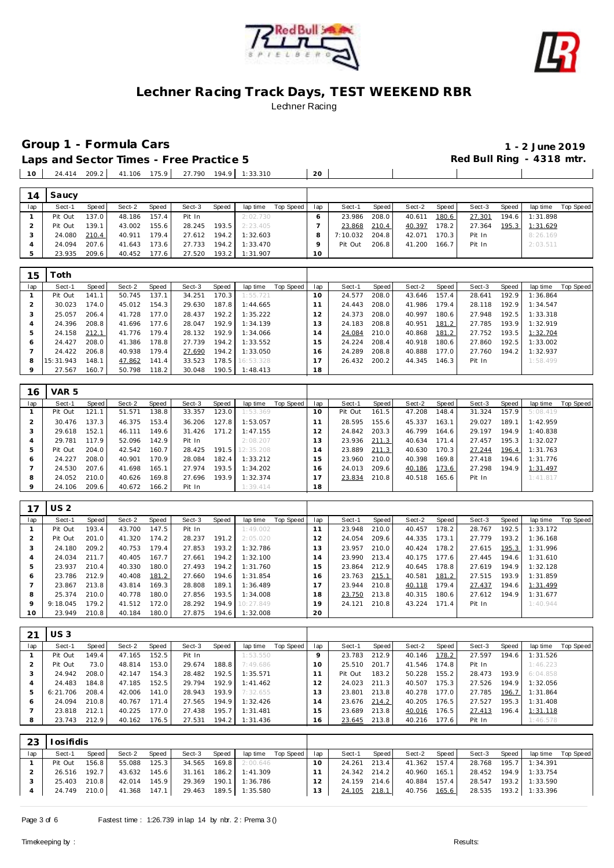



**Group 1 - Formula Cars 1 - 2 June 2019**

 $\blacksquare$ 

 $\blacksquare$ 

Laps and Sector Times - Free Practice 5 **All and Sector Times - Free Practice 5 Red Bull Ring - 4318 mtr.** 24.414 209.2 41.106 175.9 27.790 194.9 1:33.310 **20**

|     | Saucy   |       |        |              |        |       |          |           |     |          |       |        |       |        |       |          |           |
|-----|---------|-------|--------|--------------|--------|-------|----------|-----------|-----|----------|-------|--------|-------|--------|-------|----------|-----------|
| lap | Sect-1  | Speed | Sect-2 | <b>Speed</b> | Sect-3 | Speed | lap time | Top Speed | lap | Sect-1   | Speed | Sect-2 | Speed | Sect-3 | Speed | lap time | Top Speed |
|     | Pit Out | 137.0 | 48.186 | 157.4        | Pit In |       | 2:02.730 |           |     | 23.986   | 208.0 | 40.611 | 180.6 | 27.301 | 194.6 | 1:31.898 |           |
|     | Pit Out | 139.1 | 43.002 | 155.6        | 28.245 | 193.5 | 2:23.405 |           |     | 23.868   | 210.4 | 40.397 | 178.2 | 27.364 | 195.3 | 1:31.629 |           |
|     | 24.080  | 210.4 | 40.911 | 179.4        | 27.612 | 194.2 | 1:32.603 |           |     | 7:10.032 | 204.8 | 42.071 | 170.3 | Pit In |       | 8:26.169 |           |
|     | 24.094  | 207.6 | 41.643 | 173.6        | 27.733 | 194.2 | 1:33.470 |           |     | Pit Out  | 206.8 | 41.200 | 166.7 | Pit In |       | 2:03.511 |           |
|     | 23.935  | 209.6 | 40.452 | 177.6        | 27.520 | 193.2 | 1:31.907 |           | 10  |          |       |        |       |        |       |          |           |
|     |         |       |        |              |        |       |          |           |     |          |       |        |       |        |       |          |           |

| 15  | `oth.     |       |        |       |        |       |                 |           |     |        |       |        |       |        |       |          |           |
|-----|-----------|-------|--------|-------|--------|-------|-----------------|-----------|-----|--------|-------|--------|-------|--------|-------|----------|-----------|
| lap | Sect-1    | Speed | Sect-2 | Speed | Sect-3 | Speed | lap time        | Top Speed | lap | Sect-1 | Speed | Sect-2 | Speed | Sect-3 | Speed | lap time | Top Speed |
|     | Pit Out   | 141.1 | 50.745 | 137.1 | 34.251 | 170.3 | 1:55.721        |           | 10  | 24.577 | 208.0 | 43.646 | 157.4 | 28.641 | 192.9 | 1:36.864 |           |
|     | 30.023    | 174.0 | 45.012 | 154.3 | 29.630 | 187.8 | 1:44.665        |           |     | 24.443 | 208.0 | 41.986 | 179.4 | 28.118 | 192.9 | 1:34.547 |           |
|     | 25.057    | 206.4 | 41.728 | 177.0 | 28.437 | 192.2 | 1:35.222        |           | 12  | 24.373 | 208.0 | 40.997 | 180.6 | 27.948 | 192.5 | 1:33.318 |           |
|     | 24.396    | 208.8 | 41.696 | 177.6 | 28.047 | 192.9 | 1:34.139        |           | 13  | 24.183 | 208.8 | 40.951 | 181.2 | 27.785 | 193.9 | 1:32.919 |           |
|     | 24.158    | 212.1 | 41.776 | 179.4 | 28.132 | 192.9 | 1:34.066        |           | 14  | 24.084 | 210.0 | 40.868 | 181.2 | 27.752 | 193.5 | 1:32.704 |           |
| 6   | 24.427    | 208.0 | 41.386 | 178.8 | 27.739 | 194.2 | 1:33.552        |           | 15  | 24.224 | 208.4 | 40.918 | 180.6 | 27.860 | 192.5 | 1:33.002 |           |
|     | 24.422    | 206.8 | 40.938 | 179.4 | 27.690 | 194.2 | 1:33.050        |           | 16  | 24.289 | 208.8 | 40.888 | 177.0 | 27.760 | 194.2 | 1:32.937 |           |
| 8   | 15:31.943 | 148.1 | 47.862 | 141.4 | 33.523 |       | 178.5 16:53.328 |           | 17  | 26.432 | 200.2 | 44.345 | 146.3 | Pit In |       | 1:58.499 |           |
|     | 27.567    | 160.7 | 50.798 | 118.2 | 30.048 |       | 190.5 1:48.413  |           | 18  |        |       |        |       |        |       |          |           |

| 16  | VAR <sub>5</sub> |       |        |       |        |       |           |           |                |         |       |        |       |        |       |          |           |
|-----|------------------|-------|--------|-------|--------|-------|-----------|-----------|----------------|---------|-------|--------|-------|--------|-------|----------|-----------|
| lap | Sect-1           | Speed | Sect-2 | Speed | Sect-3 | Speed | lap time  | Top Speed | lap            | Sect-1  | Speed | Sect-2 | Speed | Sect-3 | Speed | lap time | Top Speed |
|     | Pit Out          | 121.1 | 51.571 | 138.8 | 33.357 | 123.0 | 1:53.369  |           | 10             | Pit Out | 161.5 | 47.208 | 148.4 | 31.324 | 157.9 | 5:08.419 |           |
|     | 30.476           | 137.3 | 46.375 | 153.4 | 36.206 | 127.8 | 1:53.057  |           |                | 28.595  | 155.6 | 45.337 | 163.1 | 29.027 | 189.1 | 1:42.959 |           |
| 3   | 29.618           | 152.1 | 46.111 | 149.6 | 31.426 | 171.2 | 1:47.155  |           | $\mathcal{P}$  | 24.842  | 203.3 | 46.799 | 164.6 | 29.197 | 194.9 | 1:40.838 |           |
| 4   | 29.781           | 117.9 | 52.096 | 142.9 | Pit In |       | 2:08.207  |           | 3              | 23.936  | 211.3 | 40.634 | 171.4 | 27.457 | 195.3 | 1:32.027 |           |
| 5   | Pit Out          | 204.0 | 42.542 | 160.7 | 28.425 | 191.5 | 12:35.208 |           | $\overline{a}$ | 23.889  | 211.3 | 40.630 | 170.3 | 27.244 | 196.4 | 1:31.763 |           |
| 6   | 24.227           | 208.0 | 40.901 | 170.9 | 28.084 | 182.4 | 1:33.212  |           | 5              | 23.960  | 210.0 | 40.398 | 169.8 | 27.418 | 194.6 | 1:31.776 |           |
|     | 24.530           | 207.6 | 41.698 | 165.1 | 27.974 | 193.5 | 1:34.202  |           | 16             | 24.013  | 209.6 | 40.186 | 173.6 | 27.298 | 194.9 | 1:31.497 |           |
| 8   | 24.052           | 210.0 | 40.626 | 169.8 | 27.696 | 193.9 | 1:32.374  |           |                | 23.834  | 210.8 | 40.518 | 165.6 | Pit In |       | 1:41.817 |           |
| 9   | 24.106           | 209.6 | 40.672 | 166.2 | Pit In |       | 1:39.414  |           | 18             |         |       |        |       |        |       |          |           |

|     | <b>US2</b> |       |        |       |        |       |           |           |     |        |       |        |       |        |       |          |           |
|-----|------------|-------|--------|-------|--------|-------|-----------|-----------|-----|--------|-------|--------|-------|--------|-------|----------|-----------|
| lap | Sect-1     | Speed | Sect-2 | Speed | Sect-3 | Speed | lap time  | Top Speed | lap | Sect-1 | Speed | Sect-2 | Speed | Sect-3 | Speed | lap time | Top Speed |
|     | Pit Out    | 193.4 | 43.700 | 147.5 | Pit In |       | 1:49.002  |           |     | 23.948 | 210.0 | 40.457 | 178.2 | 28.767 | 192.5 | 1:33.172 |           |
|     | Pit Out    | 201.0 | 41.320 | 174.2 | 28.237 | 191.2 | 2:05.020  |           | 12  | 24.054 | 209.6 | 44.335 | 173.1 | 27.779 | 193.2 | 1:36.168 |           |
|     | 24.180     | 209.2 | 40.753 | 179.4 | 27.853 | 193.2 | 1:32.786  |           | 13  | 23.957 | 210.0 | 40.424 | 178.2 | 27.615 | 195.3 | 1:31.996 |           |
|     | 24.034     | 211.7 | 40.405 | 167.7 | 27.661 | 194.2 | 1:32.100  |           | l 4 | 23.990 | 213.4 | 40.175 | 177.6 | 27.445 | 194.6 | 1:31.610 |           |
|     | 23.937     | 210.4 | 40.330 | 180.0 | 27.493 | 194.2 | 1:31.760  |           | 15  | 23.864 | 212.9 | 40.645 | 178.8 | 27.619 | 194.9 | 1:32.128 |           |
| 6   | 23.786     | 212.9 | 40.408 | 181.2 | 27.660 | 194.6 | 1:31.854  |           | 16. | 23.763 | 215.1 | 40.581 | 181.2 | 27.515 | 193.9 | 1:31.859 |           |
|     | 23.867     | 213.8 | 43.814 | 169.3 | 28,808 | 189.1 | 1:36.489  |           |     | 23.944 | 210.8 | 40.118 | 179.4 | 27.437 | 194.6 | 1:31.499 |           |
| 8   | 25.374     | 210.0 | 40.778 | 180.0 | 27.856 | 193.5 | 1:34.008  |           | 18  | 23.750 | 213.8 | 40.315 | 180.6 | 27.612 | 194.9 | 1:31.677 |           |
| 9   | 9:18.045   | 179.2 | 41.512 | 172.0 | 28.292 | 194.9 | 10:27.849 |           | 19  | 24.121 | 210.8 | 43.224 | 171.4 | Pit In |       | 1:40.944 |           |
| 10  | 23.949     | 210.8 | 40.184 | 180.0 | 27.875 | 194.6 | 1:32.008  |           | 20  |        |       |        |       |        |       |          |           |

|     | <b>US3</b> |       |        |       |        |       |          |           |     |         |       |              |       |        |       |          |           |
|-----|------------|-------|--------|-------|--------|-------|----------|-----------|-----|---------|-------|--------------|-------|--------|-------|----------|-----------|
| lap | Sect-1     | Speed | Sect-2 | Speed | Sect-3 | Speed | lap time | Top Speed | lap | Sect-1  | Speed | Sect-2       | Speed | Sect-3 | Speed | lap time | Top Speed |
|     | Pit Out    | 149.4 | 47.165 | 152.5 | Pit In |       | 1:53.550 |           |     | 23.783  | 212.9 | 40.146       | 178.2 | 27.597 | 194.6 | 1:31.526 |           |
|     | Pit Out    | 73.0  | 48.814 | 153.0 | 29.674 | 188.8 | 7:49.686 |           | 10  | 25.510  | 201.7 | 41.546       | 174.8 | Pit In |       | 1:46.223 |           |
|     | 24.942     | 208.0 | 42.147 | 154.3 | 28.482 | 192.5 | 1:35.571 |           |     | Pit Out | 183.2 | 50.228       | 155.2 | 28.473 | 193.9 | 6:04.858 |           |
|     | 24.483     | 184.8 | 47.185 | 152.5 | 29.794 | 192.9 | 1:41.462 |           |     | 24.023  | 211.3 | 40.507       | 175.3 | 27.526 | 194.9 | 1:32.056 |           |
|     | 6:21.706   | 208.4 | 42.006 | 141.0 | 28.943 | 193.9 | 7:32.655 |           |     | 23.801  | 213.8 | 40.278       | 177.0 | 27.785 | 196.7 | 1:31.864 |           |
|     | 24.094     | 210.8 | 40.767 | 171.4 | 27.565 | 194.9 | 1:32.426 |           | l 4 | 23.676  | 214.2 | 40.205       | 176.5 | 27.527 | 195.3 | 1:31.408 |           |
|     | 23.818     | 212.1 | 40.225 | 177.0 | 27.438 | 195.7 | 1:31.481 |           | 15  | 23.689  | 213.8 | 40.016       | 176.5 | 27.413 | 196.4 | 1:31.118 |           |
| 8   | 23.743     | 212.9 | 40.162 | 176.5 | 27.531 | 194.2 | 1:31.436 |           | 16. | 23.645  | 213.8 | 40.216 177.6 |       | Pit In |       | 1:46.578 |           |
|     |            |       |        |       |        |       |          |           |     |         |       |              |       |        |       |          |           |

| 23  | osifidis     |         |        |                    |        |       |                       |           |          |        |       |              |       |        |       |                       |           |
|-----|--------------|---------|--------|--------------------|--------|-------|-----------------------|-----------|----------|--------|-------|--------------|-------|--------|-------|-----------------------|-----------|
| lap | Sect-1       | Speed I | Sect-2 | Speed              | Sect-3 | Speed | lap time              | Top Speed | lap      | Sect-1 | Speed | Sect-2       | Speed | Sect-3 | Speed | lap time              | Top Speed |
|     | Pit Out      | 156.8   | 55.088 | 125.3              | 34.565 | 169.8 | 2:00.646              |           | $10^{-}$ | 24.261 | 213.4 | 41.362 157.4 |       | 28.768 | 195.7 | 1:34.391              |           |
|     | 26.516       | 192.7   | 43.632 | 145.6              | 31.161 |       | 186.2 1:41.309        |           |          | 24.342 | 214.2 | 40.960       | 165.1 | 28.452 | 194.9 | 1:33.754              |           |
|     | 25.403       | 210.8   | 42.014 | 145.9 <sub>1</sub> | 29.369 | 190.1 | 1:36.786              |           |          | 24.159 | 214.6 | 40.884       | 157.4 | 28.547 | 193.2 | 1:33.590              |           |
|     | 24.749 210.0 |         | 41.368 | 147.1              |        |       | 29.463 189.5 1:35.580 |           | 13       | 24.105 | 218.1 | 40.756 165.6 |       |        |       | 28.535 193.2 1:33.396 |           |
|     |              |         |        |                    |        |       |                       |           |          |        |       |              |       |        |       |                       |           |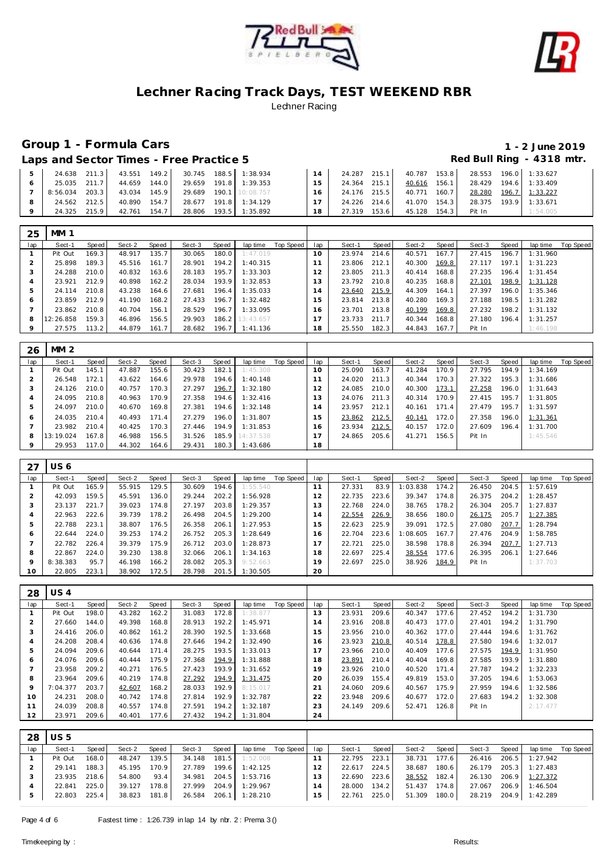



# **Group 1 - Formula Cars 1 - 2 June 2019**

Laps and Sector Times - Free Practice 5 *Red Bull Ring - 4318 mtr.* 

| 24.638   | 211.3 | 43.551 | 149.2 |        |       | 30.745 188.5 1:38.934 |    | 24.287 | 215.1 | 40.787 | 153.8 | 28.553 | 196.0 | 1:33.627 |
|----------|-------|--------|-------|--------|-------|-----------------------|----|--------|-------|--------|-------|--------|-------|----------|
| 25.035   | 211.7 | 44.659 | 144.0 | 29.659 | 191.8 | 1:39.353              | 15 | 24.364 | 215.1 | 40.616 | 156.1 | 28.429 | 194.6 | 1:33.409 |
| 8:56.034 | 203.3 | 43.034 | 145.9 | 29.689 |       | 190.1 10:08.757       | 16 | 24.176 | 215.5 | 40.771 | 160.7 | 28.280 | 196.7 | 1:33.227 |
| 24.562   | 212.5 | 40.890 | 154.7 | 28.677 | 191.8 | 1:34.129              |    | 24.226 | 214.6 | 41.070 | 154.3 | 28.375 | 193.9 | 1:33.671 |
| 24 325   | 215.9 | 42.761 | 154.7 | 28.806 |       | 193.5 1:35.892        | 18 | 27.319 | 153.6 | 45.128 | 154.3 | Pit In |       | 1:54.005 |

| 25      | <b>MM 1</b> |       |        |       |        |       |                 |           |                |        |       |        |       |        |       |          |           |
|---------|-------------|-------|--------|-------|--------|-------|-----------------|-----------|----------------|--------|-------|--------|-------|--------|-------|----------|-----------|
| lap     | Sect-1      | Speed | Sect-2 | Speed | Sect-3 | Speed | lap time        | Top Speed | lap            | Sect-1 | Speed | Sect-2 | Speed | Sect-3 | Speed | lap time | Top Speed |
|         | Pit Out     | 169.3 | 48.917 | 135.7 | 30.065 | 180.0 | 1:47.019        |           | $10^{-}$       | 23.974 | 214.6 | 40.571 | 167.7 | 27.415 | 196.7 | 1:31.960 |           |
|         | 25.898      | 189.3 | 45.516 | 161.7 | 28.901 | 194.2 | 1:40.315        |           |                | 23.806 | 212.1 | 40.300 | 169.8 | 27.117 | 197.1 | 1:31.223 |           |
| 3       | 24.288      | 210.0 | 40.832 | 163.6 | 28.183 | 195.7 | 1:33.303        |           | $\overline{2}$ | 23.805 | 211.3 | 40.414 | 168.8 | 27.235 | 196.4 | 1:31.454 |           |
|         | 23.921      | 212.9 | 40.898 | 162.2 | 28.034 | 193.9 | 1:32.853        |           | 3              | 23.792 | 210.8 | 40.235 | 168.8 | 27.101 | 198.9 | 1:31.128 |           |
| 5       | 24.114      | 210.8 | 43.238 | 164.6 | 27.681 | 196.4 | 1:35.033        |           | $\overline{4}$ | 23.640 | 215.9 | 44.309 | 164.1 | 27.397 | 196.0 | 1:35.346 |           |
| Ô       | 23.859      | 212.9 | 41.190 | 168.2 | 27.433 | 196.7 | 1:32.482        |           | 5              | 23.814 | 213.8 | 40.280 | 169.3 | 27.188 | 198.5 | 1:31.282 |           |
|         | 23.862      | 210.8 | 40.704 | 156.1 | 28.529 | 196.7 | 1:33.095        |           | 16             | 23.701 | 213.8 | 40.199 | 169.8 | 27.232 | 198.2 | 1:31.132 |           |
| 8       | 12:26.858   | 159.3 | 46.896 | 156.5 | 29.903 |       | 186.2 13:43.657 |           |                | 23.733 | 211.7 | 40.344 | 168.8 | 27.180 | 196.4 | 1:31.257 |           |
| $\circ$ | 27.575      | 113.2 | 44.879 | 161.7 | 28.682 |       | 196.7 1:41.136  |           | 18             | 25.550 | 182.3 | 44.843 | 167.7 | Pit In |       | 1:46.198 |           |

| 26      | MM <sub>2</sub> |       |        |       |        |       |                 |           |     |        |       |        |       |        |       |          |           |
|---------|-----------------|-------|--------|-------|--------|-------|-----------------|-----------|-----|--------|-------|--------|-------|--------|-------|----------|-----------|
| lap     | Sect-1          | Speed | Sect-2 | Speed | Sect-3 | Speed | lap time        | Top Speed | lap | Sect-1 | Speed | Sect-2 | Speed | Sect-3 | Speed | lap time | Top Speed |
|         | Pit Out         | 145.1 | 47.887 | 155.6 | 30.423 | 182.1 | 1:45.308        |           | 10  | 25.090 | 163.7 | 41.284 | 170.9 | 27.795 | 194.9 | 1:34.169 |           |
|         | 26.548          | 172.1 | 43.622 | 164.6 | 29.978 | 194.6 | 1:40.148        |           |     | 24.020 | 211.3 | 40.344 | 170.3 | 27.322 | 195.3 | 1:31.686 |           |
| 3       | 24.126          | 210.0 | 40.757 | 170.3 | 27.297 | 196.7 | 1:32.180        |           | 12  | 24.085 | 210.0 | 40.300 | 173.1 | 27.258 | 196.0 | 1:31.643 |           |
| 4       | 24.095          | 210.8 | 40.963 | 170.9 | 27.358 | 194.6 | 1:32.416        |           | 13  | 24.076 | 211.3 | 40.314 | 170.9 | 27.415 | 195.7 | 1:31.805 |           |
| 5       | 24.097          | 210.0 | 40.670 | 169.8 | 27.381 | 194.6 | 1:32.148        |           | 14  | 23.957 | 212.1 | 40.161 | 171.4 | 27.479 | 195.7 | 1:31.597 |           |
| 6       | 24.035          | 210.4 | 40.493 | 171.4 | 27.279 | 196.0 | 1:31.807        |           | 15  | 23.862 | 212.5 | 40.141 | 172.0 | 27.358 | 196.0 | 1:31.361 |           |
|         | 23.982          | 210.4 | 40.425 | 170.3 | 27.446 | 194.9 | 1:31.853        |           | 16  | 23.934 | 212.5 | 40.157 | 172.0 | 27.609 | 196.4 | 1:31.700 |           |
| 8       | 13:19.024       | 167.8 | 46.988 | 156.5 | 31.526 |       | 185.9 14:37.538 |           |     | 24.865 | 205.6 | 41.271 | 156.5 | Pit In |       | 1:45.546 |           |
| $\circ$ | 29.953          | 117.0 | 44.302 | 164.6 | 29.431 |       | 180.3 1:43.686  |           | 18  |        |       |        |       |        |       |          |           |

| 27      | US 6     |       |        |       |        |       |          |           |                |        |       |          |       |        |       |          |           |
|---------|----------|-------|--------|-------|--------|-------|----------|-----------|----------------|--------|-------|----------|-------|--------|-------|----------|-----------|
| lap     | Sect-1   | Speed | Sect-2 | Speed | Sect-3 | Speed | lap time | Top Speed | lap            | Sect-1 | Speed | Sect-2   | Speed | Sect-3 | Speed | lap time | Top Speed |
|         | Pit Out  | 165.9 | 55.915 | 129.5 | 30.609 | 194.6 | 1:55.540 |           | 11             | 27.331 | 83.9  | 1:03.838 | 174.2 | 26.450 | 204.5 | 1:57.619 |           |
|         | 42.093   | 159.5 | 45.591 | 136.0 | 29.244 | 202.2 | 1:56.928 |           | 12             | 22.735 | 223.6 | 39.347   | 174.8 | 26.375 | 204.2 | 1:28.457 |           |
| -3      | 23.137   | 221.7 | 39.023 | 174.8 | 27.197 | 203.8 | 1:29.357 |           | 13             | 22.768 | 224.0 | 38.765   | 178.2 | 26.304 | 205.7 | 1:27.837 |           |
| 4       | 22.963   | 222.6 | 39.739 | 178.2 | 26.498 | 204.5 | 1:29.200 |           | $\overline{4}$ | 22.554 | 226.9 | 38.656   | 180.0 | 26.175 | 205.7 | 1:27.385 |           |
| 5       | 22.788   | 223.1 | 38.807 | 176.5 | 26.358 | 206.1 | 1:27.953 |           | 15             | 22.623 | 225.9 | 39.091   | 172.5 | 27.080 | 207.7 | 1:28.794 |           |
| Ô       | 22.644   | 224.0 | 39.253 | 174.2 | 26.752 | 205.3 | 1:28.649 |           | 16             | 22.704 | 223.6 | 1:08.605 | 167.7 | 27.476 | 204.9 | 1:58.785 |           |
|         | 22.782   | 226.4 | 39.379 | 175.9 | 26.712 | 203.0 | 1:28.873 |           | $\overline{ }$ | 22.721 | 225.0 | 38.598   | 178.8 | 26.394 | 207.7 | 1:27.713 |           |
| 8       | 22.867   | 224.0 | 39.230 | 138.8 | 32.066 | 206.1 | 1:34.163 |           | 18             | 22.697 | 225.4 | 38.554   | 177.6 | 26.395 | 206.1 | 1:27.646 |           |
| $\circ$ | 8:38.383 | 95.7  | 46.198 | 166.2 | 28.082 | 205.3 | 9:52.663 |           | 19             | 22.697 | 225.0 | 38.926   | 184.9 | Pit In |       | 1:37.703 |           |
| 10      | 22.805   | 223.1 | 38.902 | 172.5 | 28.798 | 201.5 | 1:30.505 |           | 20             |        |       |          |       |        |       |          |           |

| 28  | US 4     |       |        |       |        |       |          |           |     |        |       |        |       |        |       |          |           |
|-----|----------|-------|--------|-------|--------|-------|----------|-----------|-----|--------|-------|--------|-------|--------|-------|----------|-----------|
| lap | Sect-1   | Speed | Sect-2 | Speed | Sect-3 | Speed | lap time | Top Speed | lap | Sect-1 | Speed | Sect-2 | Speed | Sect-3 | Speed | lap time | Top Speed |
|     | Pit Out  | 198.0 | 43.282 | 162.2 | 31.083 | 172.8 | 1:38.877 |           | 13  | 23.931 | 209.6 | 40.347 | 177.6 | 27.452 | 194.2 | 1:31.730 |           |
|     | 27.660   | 144.0 | 49.398 | 168.8 | 28.913 | 192.2 | 1:45.971 |           | 14  | 23.916 | 208.8 | 40.473 | 177.0 | 27.401 | 194.2 | 1:31.790 |           |
| 3   | 24.416   | 206.0 | 40.862 | 161.2 | 28.390 | 192.5 | 1:33.668 |           | 15  | 23.956 | 210.0 | 40.362 | 177.0 | 27.444 | 194.6 | 1:31.762 |           |
| 4   | 24.208   | 208.4 | 40.636 | 174.8 | 27.646 | 194.2 | 1:32.490 |           | 16  | 23.923 | 210.8 | 40.514 | 178.8 | 27.580 | 194.6 | 1:32.017 |           |
| 5   | 24.094   | 209.6 | 40.644 | 171.4 | 28.275 | 193.5 | 1:33.013 |           | 17  | 23.966 | 210.0 | 40.409 | 177.6 | 27.575 | 194.9 | 1:31.950 |           |
| 6   | 24.076   | 209.6 | 40.444 | 175.9 | 27.368 | 194.9 | 1:31.888 |           | 18  | 23.891 | 210.4 | 40.404 | 169.8 | 27.585 | 193.9 | 1:31.880 |           |
|     | 23.958   | 209.2 | 40.271 | 176.5 | 27.423 | 193.9 | 1:31.652 |           | 19  | 23.926 | 210.0 | 40.520 | 171.4 | 27.787 | 194.2 | 1:32.233 |           |
| 8   | 23.964   | 209.6 | 40.219 | 174.8 | 27.292 | 194.9 | 1:31.475 |           | 20  | 26.039 | 155.4 | 49.819 | 153.0 | 37.205 | 194.6 | 1:53.063 |           |
| 9   | 7:04.377 | 203.7 | 42.607 | 168.2 | 28.033 | 192.9 | 8:15.017 |           | 21  | 24.060 | 209.6 | 40.567 | 175.9 | 27.959 | 194.6 | 1:32.586 |           |
| 10  | 24.231   | 208.0 | 40.742 | 174.8 | 27.814 | 192.9 | 1:32.787 |           | 22  | 23.948 | 209.6 | 40.677 | 172.0 | 27.683 | 194.2 | 1:32.308 |           |
| 11  | 24.039   | 208.8 | 40.557 | 174.8 | 27.591 | 194.2 | 1:32.187 |           | 23  | 24.149 | 209.6 | 52.471 | 126.8 | Pit In |       | 2:17.477 |           |
| 12  | 23.971   | 209.6 | 40.401 | 177.6 | 27.432 | 194.2 | 1:31.804 |           | 24  |        |       |        |       |        |       |          |           |

| 28  | <b>US5</b> |       |        |       |        |       |                       |           |                |        |       |        |       |        |       |                       |           |
|-----|------------|-------|--------|-------|--------|-------|-----------------------|-----------|----------------|--------|-------|--------|-------|--------|-------|-----------------------|-----------|
| lap | Sect-1     | Speed | Sect-2 | Speed | Sect-3 | Speed | lap time              | Top Speed | lap            | Sect-1 | Speed | Sect-2 | Speed | Sect-3 | Speed | lap time              | Top Speed |
|     | Pit Out    | 168.0 | 48.247 | 139.5 | 34.148 | 181.5 | 1:52.008              |           |                | 22.795 | 223.1 | 38.731 | 177.6 | 26.416 | 206.5 | 1:27.942              |           |
|     | 29.141     | 188.3 | 45.195 | 170.9 | 27.789 | 199.6 | 1:42.125              |           |                | 22.617 | 224.5 | 38.687 | 180.6 | 26.179 |       | 205.3 1:27.483        |           |
|     | 23.935     | 218.6 | 54.800 | 93.4  | 34.981 | 204.5 | 1:53.716              |           | 13             | 22.690 | 223.6 | 38.552 | 182.4 | 26.130 |       | 206.9 1:27.372        |           |
|     | 22.841     | 225.0 | 39.127 | 178.8 | 27.999 | 204.9 | 1:29.967              |           | $\overline{4}$ | 28,000 | 134.2 | 51.437 | 174.8 | 27.067 |       | 206.9 1:46.504        |           |
|     | 22.803     | 225.4 | 38.823 | 181.8 |        |       | 26.584 206.1 1:28.210 |           | 15             | 22.761 | 225.0 | 51.309 | 180.0 |        |       | 28.219 204.9 1:42.289 |           |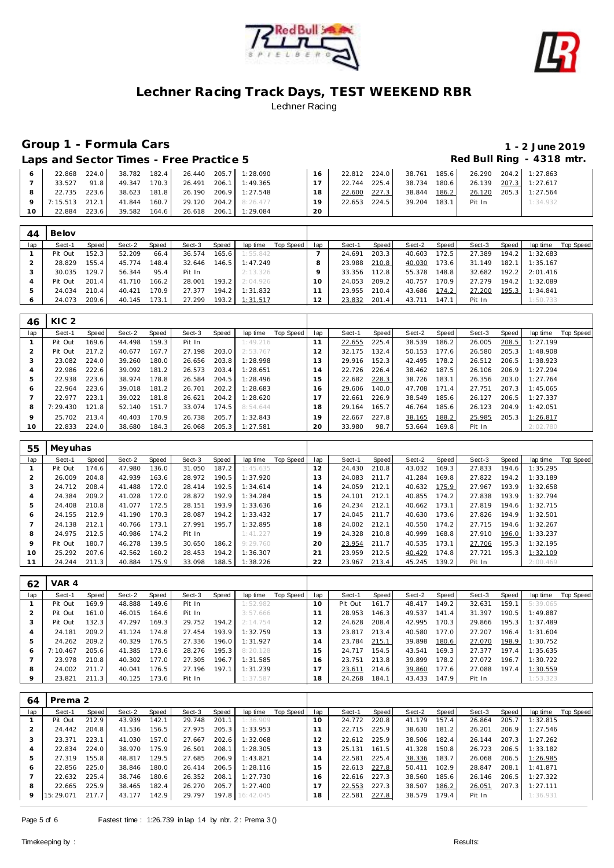



# **Group 1 - Formula Cars 1 - 2 June 2019**

Laps and Sector Times - Free Practice 5 **All and Sector Times - Free Practice 5 Red Bull Ring - 4318 mtr.** 

|           | 22.868         | 224.0 |              |       | 38.782 182.4 26.440 205.7 1:28.090 |                       |    |              |       |              | 22.812 224.0 38.761 185.6 26.290 204.2 1:27.863 |                       |
|-----------|----------------|-------|--------------|-------|------------------------------------|-----------------------|----|--------------|-------|--------------|-------------------------------------------------|-----------------------|
|           | 33.527         | 91.8  | 49.347       | 170.3 |                                    | 26.491 206.1 1:49.365 |    | 22.744 225.4 |       | 38.734 180.6 | 26.139 207.3 1:27.617                           |                       |
|           | 22.735         | 223.6 | 38.623 181.8 |       |                                    | 26.190 206.9 1:27.548 | 18 | 22.600       | 227.3 | 38.844 186.2 |                                                 | 26.120 205.3 1:27.564 |
|           | 7:15.513 212.1 |       | 41.844       |       | 160.7 29.120 204.2 8:26.477        |                       | 19 | 22.653 224.5 |       | 39.204 183.1 | Pit In                                          | 1:34.932              |
| $10^{-7}$ | 22.884         | 223.6 | 39.582       | 164.6 | 26.618 206.1                       | 1:29.084              | 20 |              |       |              |                                                 |                       |

| 44  | Belov   |       |        |       |        |       |                  |           |     |        |       |              |       |        |       |          |           |
|-----|---------|-------|--------|-------|--------|-------|------------------|-----------|-----|--------|-------|--------------|-------|--------|-------|----------|-----------|
| lap | Sect-1  | Speed | Sect-2 | Speed | Sect-3 | Speed | lap time         | Top Speed | lap | Sect-1 | Speed | Sect-2       | Speed | Sect-3 | Speed | lap time | Top Speed |
|     | Pit Out | 152.3 | 52.209 | 66.4  | 36.574 | 165.6 | 1:55.842         |           |     | 24.691 | 203.3 | 40.603       | 172.5 | 27.389 | 194.2 | 1:32.683 |           |
|     | 28.829  | 155.4 | 45.774 | 148.4 | 32.646 |       | $146.5$ 1:47.249 |           |     | 23.988 | 210.8 | 40.030       | 173.6 | 31.149 | 182.1 | 1:35.167 |           |
|     | 30.035  | 129.7 | 56.344 | 95.4  | Pit In |       | 2:13.326         |           |     | 33.356 | 112.8 | 55.378       | 148.8 | 32.682 | 192.2 | 2:01.416 |           |
|     | Pit Out | 201.4 | 41.710 | 166.2 | 28.001 | 193.2 | 2:04.926         |           | 10  | 24.053 | 209.2 | 40.757       | 170.9 | 27.279 | 194.2 | 1:32.089 |           |
|     | 24.034  | 210.4 | 40.421 | 170.9 | 27.377 |       | 194.2 1:31.832   |           |     | 23.955 | 210.4 | 43.686       | 174.2 | 27.200 | 195.3 | 1:34.841 |           |
|     | 24.073  | 209.6 | 40.145 | 173.1 | 27.299 |       | 193.2 1:31.517   |           | 12  | 23.832 | 201.4 | 43.711 147.1 |       | Pit In |       | 1:50.733 |           |

| 46           | KIC <sub>2</sub> |       |        |       |        |       |          |           |     |        |       |        |       |        |       |          |           |
|--------------|------------------|-------|--------|-------|--------|-------|----------|-----------|-----|--------|-------|--------|-------|--------|-------|----------|-----------|
| lap          | Sect-1           | Speed | Sect-2 | Speed | Sect-3 | Speed | lap time | Top Speed | lap | Sect-1 | Speed | Sect-2 | Speed | Sect-3 | Speed | lap time | Top Speed |
|              | Pit Out          | 169.6 | 44.498 | 159.3 | Pit In |       | 1:49.216 |           | 11  | 22.655 | 225.4 | 38.539 | 186.2 | 26.005 | 208.5 | 1:27.199 |           |
|              | Pit Out          | 217.2 | 40.677 | 167.7 | 27.198 | 203.0 | 2:53.767 |           | 12  | 32.175 | 132.4 | 50.153 | 177.6 | 26.580 | 205.3 | 1:48.908 |           |
| 3            | 23.082           | 224.0 | 39.260 | 180.0 | 26.656 | 203.8 | 1:28.998 |           | 13  | 29.916 | 152.3 | 42.495 | 178.2 | 26.512 | 206.5 | 1:38.923 |           |
| 4            | 22.986           | 222.6 | 39.092 | 181.2 | 26.573 | 203.4 | 1:28.651 |           | 14  | 22.726 | 226.4 | 38.462 | 187.5 | 26.106 | 206.9 | 1:27.294 |           |
| 5            | 22.938           | 223.6 | 38.974 | 178.8 | 26.584 | 204.5 | 1:28.496 |           | 15  | 22.682 | 228.3 | 38.726 | 183.1 | 26.356 | 203.0 | 1:27.764 |           |
| <sub>6</sub> | 22.964           | 223.6 | 39.018 | 181.2 | 26.701 | 202.2 | 1:28.683 |           | 16  | 29.606 | 140.0 | 47.708 | 171.4 | 27.751 | 207.3 | 1:45.065 |           |
|              | 22.977           | 223.1 | 39.022 | 181.8 | 26.621 | 204.2 | 1:28.620 |           | 17  | 22.661 | 226.9 | 38.549 | 185.6 | 26.127 | 206.5 | 1:27.337 |           |
| 8            | 7:29.430         | 121.8 | 52.140 | 151.7 | 33.074 | 174.5 | 8:54.644 |           | 18  | 29.164 | 165.7 | 46.764 | 185.6 | 26.123 | 204.9 | 1:42.051 |           |
| $\circ$      | 25.702           | 213.4 | 40.403 | 170.9 | 26.738 | 205.7 | 1:32.843 |           | 19  | 22.667 | 227.8 | 38.165 | 188.2 | 25.985 | 205.3 | 1:26.817 |           |
| 10           | 22.833           | 224.0 | 38.680 | 184.3 | 26.068 | 205.3 | 1:27.581 |           | 20  | 33.980 | 98.7  | 53.664 | 169.8 | Pit In |       | 2:02.780 |           |

| 55  | Meyuhas |       |        |       |        |       |          |           |                |        |       |        |       |        |       |          |           |
|-----|---------|-------|--------|-------|--------|-------|----------|-----------|----------------|--------|-------|--------|-------|--------|-------|----------|-----------|
| lap | Sect-1  | Speed | Sect-2 | Speed | Sect-3 | Speed | lap time | Top Speed | lap            | Sect-1 | Speed | Sect-2 | Speed | Sect-3 | Speed | lap time | Top Speed |
|     | Pit Out | 174.6 | 47.980 | 136.0 | 31.050 | 187.2 | 1:45.635 |           | 12             | 24.430 | 210.8 | 43.032 | 169.3 | 27.833 | 194.6 | 1:35.295 |           |
|     | 26.009  | 204.8 | 42.939 | 163.6 | 28.972 | 190.5 | 1:37.920 |           | 13             | 24.083 | 211.7 | 41.284 | 169.8 | 27.822 | 194.2 | 1:33.189 |           |
|     | 24.712  | 208.4 | 41.488 | 172.0 | 28.414 | 192.5 | 1:34.614 |           | $\overline{4}$ | 24.059 | 212.1 | 40.632 | 175.9 | 27.967 | 193.9 | 1:32.658 |           |
|     | 24.384  | 209.2 | 41.028 | 172.0 | 28.872 | 192.9 | 1:34.284 |           | 5              | 24.101 | 212.1 | 40.855 | 174.2 | 27.838 | 193.9 | 1:32.794 |           |
| 5   | 24.408  | 210.8 | 41.077 | 172.5 | 28.151 | 193.9 | 1:33.636 |           | 16             | 24.234 | 212.1 | 40.662 | 173.1 | 27.819 | 194.6 | 1:32.715 |           |
| 6   | 24.155  | 212.9 | 41.190 | 170.3 | 28.087 | 194.2 | 1:33.432 |           | $\overline{7}$ | 24.045 | 211.7 | 40.630 | 173.6 | 27.826 | 194.9 | 1:32.501 |           |
|     | 24.138  | 212.1 | 40.766 | 173.1 | 27.991 | 195.7 | 1:32.895 |           | 18             | 24.002 | 212.1 | 40.550 | 174.2 | 27.715 | 194.6 | 1:32.267 |           |
| 8   | 24.975  | 212.5 | 40.986 | 174.2 | Pit In |       | 1:41.227 |           | 19             | 24.328 | 210.8 | 40.999 | 168.8 | 27.910 | 196.0 | 1:33.237 |           |
| 9   | Pit Out | 180.7 | 46.278 | 139.5 | 30.650 | 186.2 | 9:29.760 |           | 20             | 23.954 | 211.7 | 40.535 | 173.1 | 27.706 | 195.3 | 1:32.195 |           |
| 10  | 25.292  | 207.6 | 42.562 | 160.2 | 28.453 | 194.2 | 1:36.307 |           | 21             | 23.959 | 212.5 | 40.429 | 174.8 | 27.721 | 195.3 | 1:32.109 |           |
|     | 24.244  | 211.3 | 40.884 | 175.9 | 33.098 | 188.5 | 1:38.226 |           | 22             | 23.967 | 213.4 | 45.245 | 139.2 | Pit In |       | 2:00.469 |           |

| 62      | VAR 4    |       |        |       |        |       |          |           |     |         |       |        |       |        |       |                       |
|---------|----------|-------|--------|-------|--------|-------|----------|-----------|-----|---------|-------|--------|-------|--------|-------|-----------------------|
| lap     | Sect-1   | Speed | Sect-2 | Speed | Sect-3 | Speed | lap time | Top Speed | lap | Sect-1  | Speed | Sect-2 | Speed | Sect-3 | Speed | Top Speed<br>lap time |
|         | Pit Out  | 169.9 | 48.888 | 149.6 | Pit In |       | 1:52.982 |           | 10  | Pit Out | 161.7 | 48.417 | 149.2 | 32.631 | 159.1 | 5:39.065              |
|         | Pit Out  | 161.0 | 46.015 | 164.6 | Pit In |       | 3:57.666 |           |     | 28.953  | 146.3 | 49.537 | 141.4 | 31.397 | 190.5 | 1:49.887              |
|         | Pit Out  | 132.3 | 47.297 | 169.3 | 29.752 | 194.2 | 2:14.754 |           |     | 24.628  | 208.4 | 42.995 | 170.3 | 29.866 | 195.3 | 1:37.489              |
|         | 24.181   | 209.2 | 41.124 | 174.8 | 27.454 | 193.9 | 1:32.759 |           | 3   | 23.817  | 213.4 | 40.580 | 177.0 | 27.207 | 196.4 | 1:31.604              |
|         | 24.262   | 209.2 | 40.329 | 176.5 | 27.336 | 196.0 | 1:31.927 |           | 4   | 23.784  | 215.1 | 39.898 | 180.6 | 27.070 | 198.9 | 1:30.752              |
| ō       | 7:10.467 | 205.6 | 41.385 | 173.6 | 28.276 | 195.3 | 8:20.128 |           | .5  | 24.717  | 154.5 | 43.541 | 169.3 | 27.377 | 197.4 | 1:35.635              |
|         | 23.978   | 210.8 | 40.302 | 177.0 | 27.305 | 196.7 | 1:31.585 |           | 6   | 23.751  | 213.8 | 39.899 | 178.2 | 27.072 | 196.7 | 1:30.722              |
| 8       | 24.002   | 211.7 | 40.041 | 176.5 | 27.196 | 197.1 | 1:31.239 |           |     | 23.611  | 214.6 | 39.860 | 177.6 | 27.088 | 197.4 | 1:30.559              |
| $\circ$ | 23.821   | 211.3 | 40.125 | 173.6 | Pit In |       | 1:37.587 |           | 18  | 24.268  | 184.1 | 43.433 | 147.9 | Pit In |       | 1:53.323              |

| 64  | Prema 2   |       |        |       |        |       |           |           |                |        |       |        |       |        |       |          |           |
|-----|-----------|-------|--------|-------|--------|-------|-----------|-----------|----------------|--------|-------|--------|-------|--------|-------|----------|-----------|
| lap | Sect-1    | Speed | Sect-2 | Speed | Sect-3 | Speed | lap time  | Top Speed | lap            | Sect-1 | Speed | Sect-2 | Speed | Sect-3 | Speed | lap time | Top Speed |
|     | Pit Out   | 212.9 | 43.939 | 142.1 | 29.748 | 201.1 | 1:36.909  |           | 10             | 24.772 | 220.8 | 41.179 | 157.4 | 26.864 | 205.7 | 1:32.815 |           |
|     | 24.442    | 204.8 | 41.536 | 156.5 | 27.975 | 205.3 | 1:33.953  |           |                | 22.715 | 225.9 | 38.630 | 181.2 | 26.201 | 206.9 | 1:27.546 |           |
|     | 23.371    | 223.1 | 41.030 | 157.0 | 27.667 | 202.6 | 1:32.068  |           | $\overline{2}$ | 22.612 | 225.9 | 38.506 | 182.4 | 26.144 | 207.3 | 1:27.262 |           |
|     | 22.834    | 224.0 | 38.970 | 175.9 | 26.501 | 208.1 | 1:28.305  |           | 3              | 25.131 | 161.5 | 41.328 | 150.8 | 26.723 | 206.5 | 1:33.182 |           |
|     | 27.319    | 155.8 | 48.817 | 129.5 | 27.685 | 206.9 | 1:43.821  |           | 14             | 22.581 | 225.4 | 38.336 | 183.7 | 26.068 | 206.5 | 1:26.985 |           |
| 6   | 22.856    | 225.0 | 38.846 | 180.0 | 26.414 | 206.5 | 1:28.116  |           | ı 5            | 22.613 | 227.8 | 50.411 | 102.9 | 28.847 | 208.1 | 1:41.871 |           |
|     | 22.632    | 225.4 | 38.746 | 180.6 | 26.352 | 208.1 | 1:27.730  |           | 16             | 22.616 | 227.3 | 38.560 | 185.6 | 26.146 | 206.5 | 1:27.322 |           |
| 8   | 22.665    | 225.9 | 38.465 | 182.4 | 26.270 | 205.7 | 1:27.400  |           |                | 22.553 | 227.3 | 38.507 | 186.2 | 26.051 | 207.3 | 1:27.111 |           |
| q   | 15:29.071 | 217.7 | 43.177 | 142.9 | 29.797 | 197.8 | 16:42.045 |           | ı 8            | 22.581 | 227.8 | 38.579 | 179.4 | Pit In |       | 1:36.931 |           |